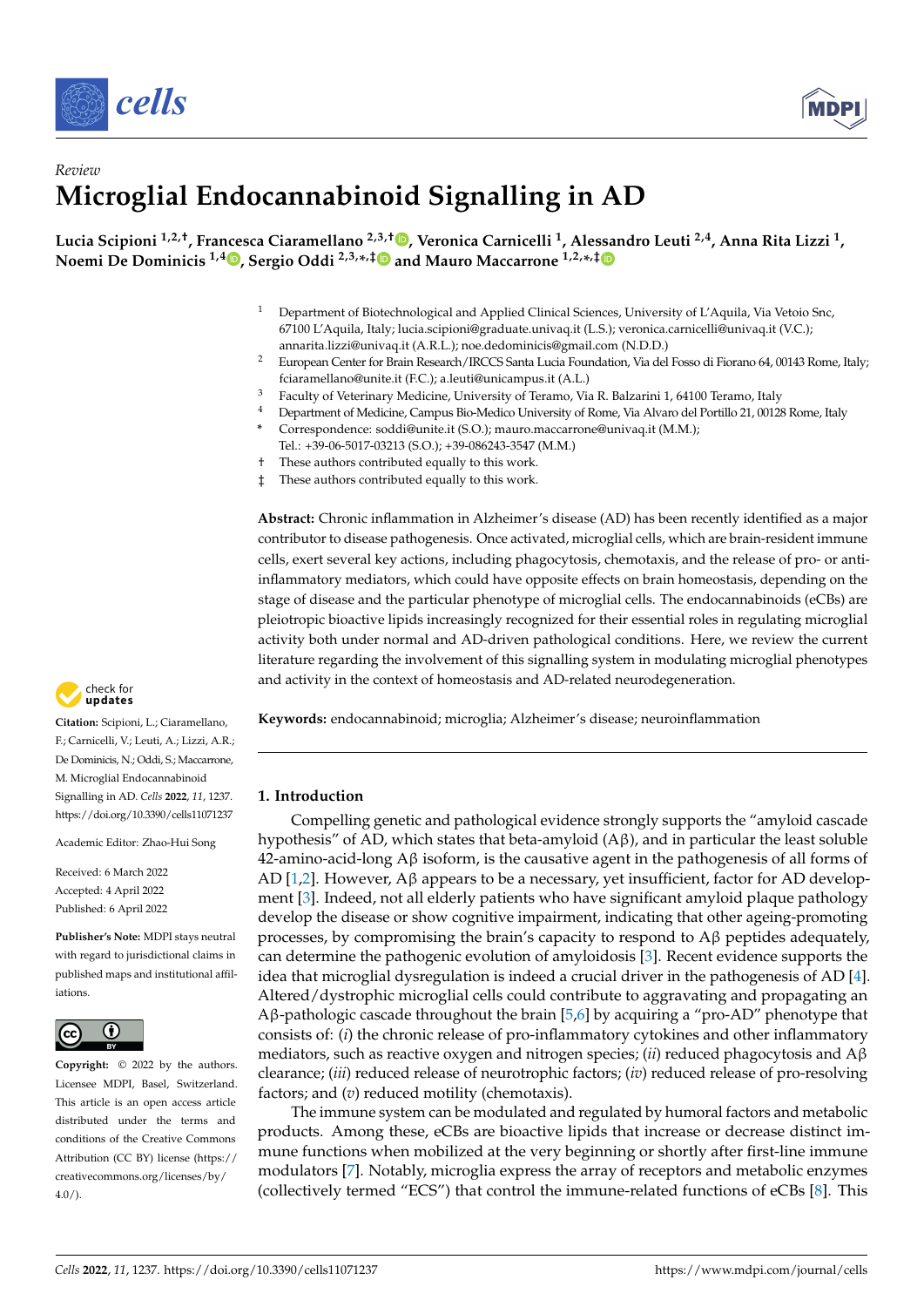



# *Review* **Microglial Endocannabinoid Signalling in AD**

**Lucia Scipioni 1,2,†, Francesca Ciaramellano 2,3,† [,](https://orcid.org/0000-0002-1899-8628) Veronica Carnicelli <sup>1</sup> , Ale[ssa](https://orcid.org/0000-0002-3990-2963)ndro Leuti 2,4, Anna Rita Lizzi <sup>1</sup> , Noemi De Dominicis 1,4 [,](https://orcid.org/0000-0002-7386-442X) Sergio Oddi 2,3,\* ,[‡](https://orcid.org/0000-0002-6217-698X) and Mauro Maccarrone 1,2,\* ,‡**

- <sup>1</sup> Department of Biotechnological and Applied Clinical Sciences, University of L'Aquila, Via Vetoio Snc, 67100 L'Aquila, Italy; lucia.scipioni@graduate.univaq.it (L.S.); veronica.carnicelli@univaq.it (V.C.); annarita.lizzi@univaq.it (A.R.L.); noe.dedominicis@gmail.com (N.D.D.)
- <sup>2</sup> European Center for Brain Research/IRCCS Santa Lucia Foundation, Via del Fosso di Fiorano 64, 00143 Rome, Italy; fciaramellano@unite.it (F.C.); a.leuti@unicampus.it (A.L.)
- <sup>3</sup> Faculty of Veterinary Medicine, University of Teramo, Via R. Balzarini 1, 64100 Teramo, Italy<br><sup>4</sup> Department of Medicine Campus Bio Medico University of Perre, Via Alvare del Pertille 21, 00126
- <sup>4</sup> Department of Medicine, Campus Bio-Medico University of Rome, Via Alvaro del Portillo 21, 00128 Rome, Italy
	- **\*** Correspondence: soddi@unite.it (S.O.); mauro.maccarrone@univaq.it (M.M.);
- Tel.: +39-06-5017-03213 (S.O.); +39-086243-3547 (M.M.)
- † These authors contributed equally to this work.
- ‡ These authors contributed equally to this work.

**Abstract:** Chronic inflammation in Alzheimer's disease (AD) has been recently identified as a major contributor to disease pathogenesis. Once activated, microglial cells, which are brain-resident immune cells, exert several key actions, including phagocytosis, chemotaxis, and the release of pro- or antiinflammatory mediators, which could have opposite effects on brain homeostasis, depending on the stage of disease and the particular phenotype of microglial cells. The endocannabinoids (eCBs) are pleiotropic bioactive lipids increasingly recognized for their essential roles in regulating microglial activity both under normal and AD-driven pathological conditions. Here, we review the current literature regarding the involvement of this signalling system in modulating microglial phenotypes and activity in the context of homeostasis and AD-related neurodegeneration.

**Keywords:** endocannabinoid; microglia; Alzheimer's disease; neuroinflammation

# **1. Introduction**

Compelling genetic and pathological evidence strongly supports the "amyloid cascade hypothesis" of AD, which states that beta-amyloid  $(A\beta)$ , and in particular the least soluble 42-amino-acid-long Aβ isoform, is the causative agent in the pathogenesis of all forms of AD [\[1,](#page-15-0)[2\]](#page-15-1). However,  $\hat{A} \beta$  appears to be a necessary, yet insufficient, factor for AD development [\[3\]](#page-15-2). Indeed, not all elderly patients who have significant amyloid plaque pathology develop the disease or show cognitive impairment, indicating that other ageing-promoting processes, by compromising the brain's capacity to respond to Aβ peptides adequately, can determine the pathogenic evolution of amyloidosis [\[3\]](#page-15-2). Recent evidence supports the idea that microglial dysregulation is indeed a crucial driver in the pathogenesis of AD [\[4\]](#page-15-3). Altered/dystrophic microglial cells could contribute to aggravating and propagating an Aβ-pathologic cascade throughout the brain [\[5](#page-15-4)[,6\]](#page-15-5) by acquiring a "pro-AD" phenotype that consists of: (*i*) the chronic release of pro-inflammatory cytokines and other inflammatory mediators, such as reactive oxygen and nitrogen species; (*ii*) reduced phagocytosis and Aβ clearance; (*iii*) reduced release of neurotrophic factors; (*iv*) reduced release of pro-resolving factors; and (*v*) reduced motility (chemotaxis).

The immune system can be modulated and regulated by humoral factors and metabolic products. Among these, eCBs are bioactive lipids that increase or decrease distinct immune functions when mobilized at the very beginning or shortly after first-line immune modulators [\[7\]](#page-15-6). Notably, microglia express the array of receptors and metabolic enzymes (collectively termed "ECS") that control the immune-related functions of eCBs [\[8\]](#page-15-7). This



**Citation:** Scipioni, L.; Ciaramellano, F.; Carnicelli, V.; Leuti, A.; Lizzi, A.R.; De Dominicis, N.; Oddi, S.; Maccarrone, M. Microglial Endocannabinoid Signalling in AD. *Cells* **2022**, *11*, 1237. <https://doi.org/10.3390/cells11071237>

Academic Editor: Zhao-Hui Song

Received: 6 March 2022 Accepted: 4 April 2022 Published: 6 April 2022

**Publisher's Note:** MDPI stays neutral with regard to jurisdictional claims in published maps and institutional affiliations.



**Copyright:** © 2022 by the authors. Licensee MDPI, Basel, Switzerland. This article is an open access article distributed under the terms and conditions of the Creative Commons Attribution (CC BY) license [\(https://](https://creativecommons.org/licenses/by/4.0/) [creativecommons.org/licenses/by/](https://creativecommons.org/licenses/by/4.0/)  $4.0/$ ).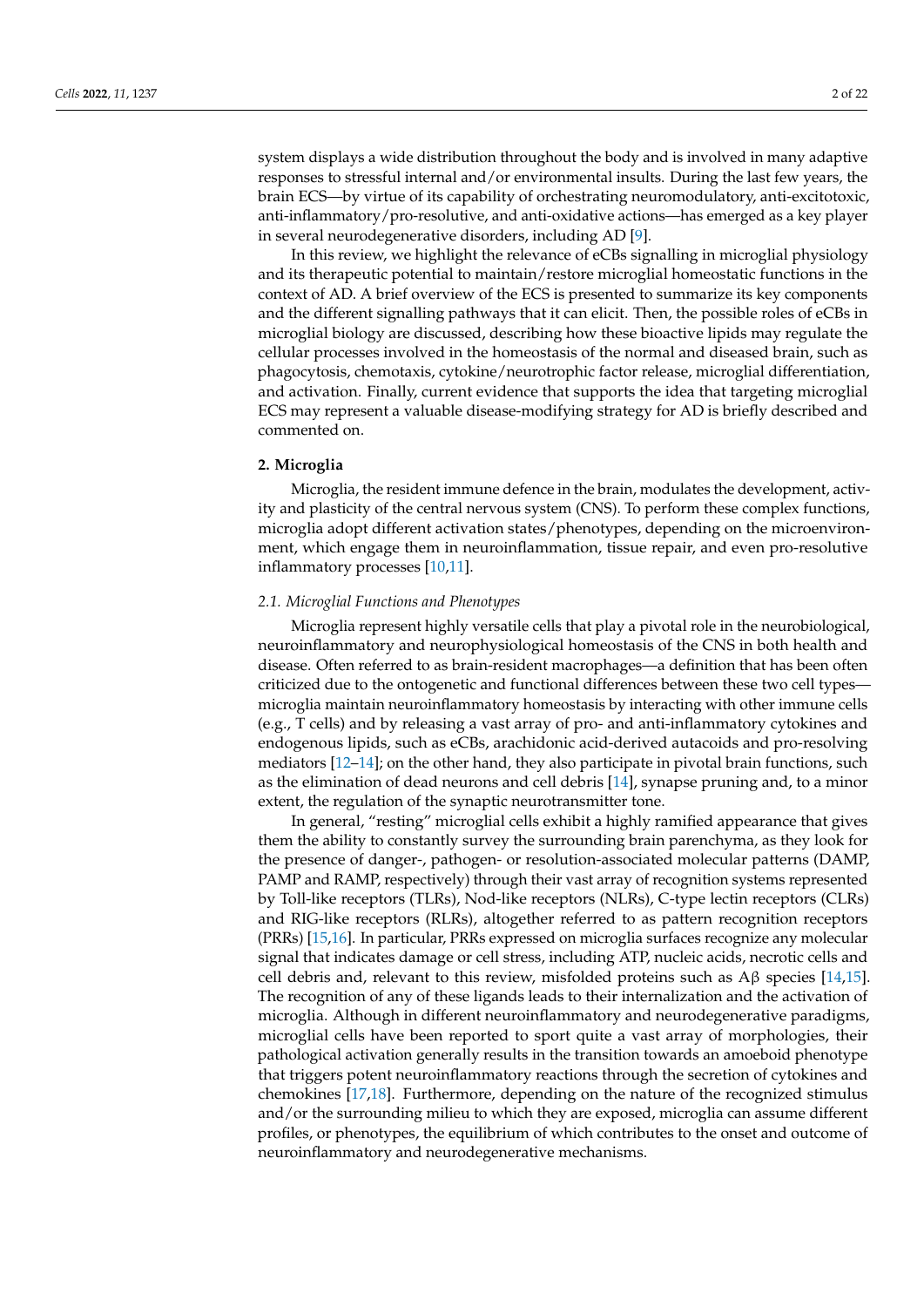system displays a wide distribution throughout the body and is involved in many adaptive responses to stressful internal and/or environmental insults. During the last few years, the brain ECS—by virtue of its capability of orchestrating neuromodulatory, anti-excitotoxic, anti-inflammatory/pro-resolutive, and anti-oxidative actions—has emerged as a key player in several neurodegenerative disorders, including AD [\[9\]](#page-15-8).

In this review, we highlight the relevance of eCBs signalling in microglial physiology and its therapeutic potential to maintain/restore microglial homeostatic functions in the context of AD. A brief overview of the ECS is presented to summarize its key components and the different signalling pathways that it can elicit. Then, the possible roles of eCBs in microglial biology are discussed, describing how these bioactive lipids may regulate the cellular processes involved in the homeostasis of the normal and diseased brain, such as phagocytosis, chemotaxis, cytokine/neurotrophic factor release, microglial differentiation, and activation. Finally, current evidence that supports the idea that targeting microglial ECS may represent a valuable disease-modifying strategy for AD is briefly described and commented on.

## **2. Microglia**

Microglia, the resident immune defence in the brain, modulates the development, activity and plasticity of the central nervous system (CNS). To perform these complex functions, microglia adopt different activation states/phenotypes, depending on the microenvironment, which engage them in neuroinflammation, tissue repair, and even pro-resolutive inflammatory processes [\[10](#page-15-9)[,11\]](#page-15-10).

## *2.1. Microglial Functions and Phenotypes*

Microglia represent highly versatile cells that play a pivotal role in the neurobiological, neuroinflammatory and neurophysiological homeostasis of the CNS in both health and disease. Often referred to as brain-resident macrophages—a definition that has been often criticized due to the ontogenetic and functional differences between these two cell types microglia maintain neuroinflammatory homeostasis by interacting with other immune cells (e.g., T cells) and by releasing a vast array of pro- and anti-inflammatory cytokines and endogenous lipids, such as eCBs, arachidonic acid-derived autacoids and pro-resolving mediators [\[12](#page-15-11)[–14\]](#page-15-12); on the other hand, they also participate in pivotal brain functions, such as the elimination of dead neurons and cell debris [\[14\]](#page-15-12), synapse pruning and, to a minor extent, the regulation of the synaptic neurotransmitter tone.

In general, "resting" microglial cells exhibit a highly ramified appearance that gives them the ability to constantly survey the surrounding brain parenchyma, as they look for the presence of danger-, pathogen- or resolution-associated molecular patterns (DAMP, PAMP and RAMP, respectively) through their vast array of recognition systems represented by Toll-like receptors (TLRs), Nod-like receptors (NLRs), C-type lectin receptors (CLRs) and RIG-like receptors (RLRs), altogether referred to as pattern recognition receptors (PRRs) [\[15,](#page-15-13)[16\]](#page-16-0). In particular, PRRs expressed on microglia surfaces recognize any molecular signal that indicates damage or cell stress, including ATP, nucleic acids, necrotic cells and cell debris and, relevant to this review, misfolded proteins such as  $A\beta$  species [\[14,](#page-15-12)[15\]](#page-15-13). The recognition of any of these ligands leads to their internalization and the activation of microglia. Although in different neuroinflammatory and neurodegenerative paradigms, microglial cells have been reported to sport quite a vast array of morphologies, their pathological activation generally results in the transition towards an amoeboid phenotype that triggers potent neuroinflammatory reactions through the secretion of cytokines and chemokines [\[17](#page-16-1)[,18\]](#page-16-2). Furthermore, depending on the nature of the recognized stimulus and/or the surrounding milieu to which they are exposed, microglia can assume different profiles, or phenotypes, the equilibrium of which contributes to the onset and outcome of neuroinflammatory and neurodegenerative mechanisms.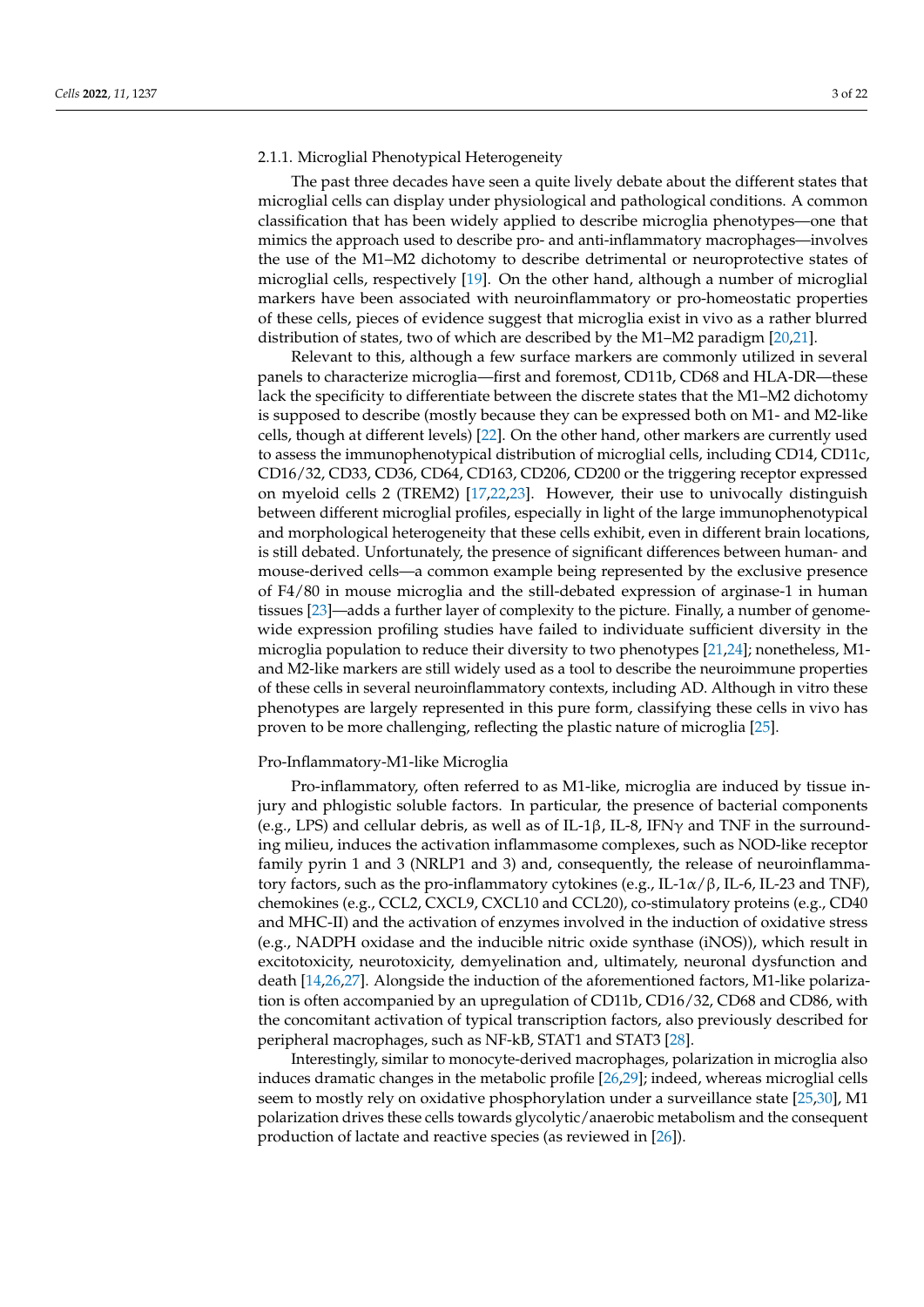### 2.1.1. Microglial Phenotypical Heterogeneity

The past three decades have seen a quite lively debate about the different states that microglial cells can display under physiological and pathological conditions. A common classification that has been widely applied to describe microglia phenotypes—one that mimics the approach used to describe pro- and anti-inflammatory macrophages—involves the use of the M1–M2 dichotomy to describe detrimental or neuroprotective states of microglial cells, respectively [\[19\]](#page-16-3). On the other hand, although a number of microglial markers have been associated with neuroinflammatory or pro-homeostatic properties of these cells, pieces of evidence suggest that microglia exist in vivo as a rather blurred distribution of states, two of which are described by the M1–M2 paradigm [\[20](#page-16-4)[,21\]](#page-16-5).

Relevant to this, although a few surface markers are commonly utilized in several panels to characterize microglia—first and foremost, CD11b, CD68 and HLA-DR—these lack the specificity to differentiate between the discrete states that the M1–M2 dichotomy is supposed to describe (mostly because they can be expressed both on M1- and M2-like cells, though at different levels) [\[22\]](#page-16-6). On the other hand, other markers are currently used to assess the immunophenotypical distribution of microglial cells, including CD14, CD11c, CD16/32, CD33, CD36, CD64, CD163, CD206, CD200 or the triggering receptor expressed on myeloid cells 2 (TREM2) [\[17,](#page-16-1)[22,](#page-16-6)[23\]](#page-16-7). However, their use to univocally distinguish between different microglial profiles, especially in light of the large immunophenotypical and morphological heterogeneity that these cells exhibit, even in different brain locations, is still debated. Unfortunately, the presence of significant differences between human- and mouse-derived cells—a common example being represented by the exclusive presence of F4/80 in mouse microglia and the still-debated expression of arginase-1 in human tissues [\[23\]](#page-16-7)—adds a further layer of complexity to the picture. Finally, a number of genomewide expression profiling studies have failed to individuate sufficient diversity in the microglia population to reduce their diversity to two phenotypes [\[21,](#page-16-5)[24\]](#page-16-8); nonetheless, M1 and M2-like markers are still widely used as a tool to describe the neuroimmune properties of these cells in several neuroinflammatory contexts, including AD. Although in vitro these phenotypes are largely represented in this pure form, classifying these cells in vivo has proven to be more challenging, reflecting the plastic nature of microglia [\[25\]](#page-16-9).

## Pro-Inflammatory-M1-like Microglia

Pro-inflammatory, often referred to as M1-like, microglia are induced by tissue injury and phlogistic soluble factors. In particular, the presence of bacterial components (e.g., LPS) and cellular debris, as well as of IL-1β, IL-8, IFN $\gamma$  and TNF in the surrounding milieu, induces the activation inflammasome complexes, such as NOD-like receptor family pyrin 1 and 3 (NRLP1 and 3) and, consequently, the release of neuroinflammatory factors, such as the pro-inflammatory cytokines (e.g., IL-1α/β, IL-6, IL-23 and TNF), chemokines (e.g., CCL2, CXCL9, CXCL10 and CCL20), co-stimulatory proteins (e.g., CD40 and MHC-II) and the activation of enzymes involved in the induction of oxidative stress (e.g., NADPH oxidase and the inducible nitric oxide synthase (iNOS)), which result in excitotoxicity, neurotoxicity, demyelination and, ultimately, neuronal dysfunction and death [\[14,](#page-15-12)[26,](#page-16-10)[27\]](#page-16-11). Alongside the induction of the aforementioned factors, M1-like polarization is often accompanied by an upregulation of CD11b, CD16/32, CD68 and CD86, with the concomitant activation of typical transcription factors, also previously described for peripheral macrophages, such as NF-kB, STAT1 and STAT3 [\[28\]](#page-16-12).

Interestingly, similar to monocyte-derived macrophages, polarization in microglia also induces dramatic changes in the metabolic profile [\[26](#page-16-10)[,29\]](#page-16-13); indeed, whereas microglial cells seem to mostly rely on oxidative phosphorylation under a surveillance state [\[25,](#page-16-9)[30\]](#page-16-14), M1 polarization drives these cells towards glycolytic/anaerobic metabolism and the consequent production of lactate and reactive species (as reviewed in [\[26\]](#page-16-10)).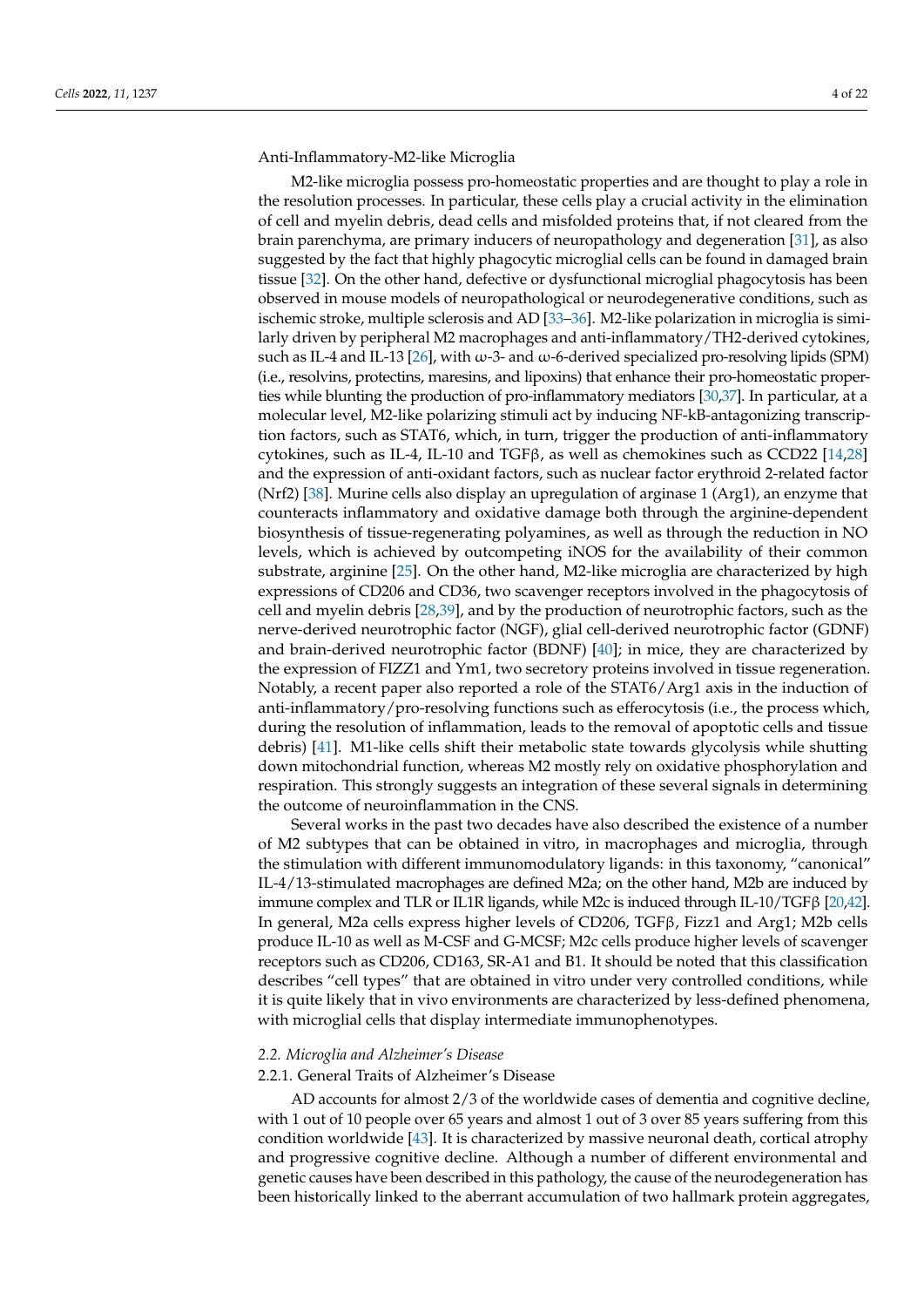Anti-Inflammatory-M2-like Microglia

M2-like microglia possess pro-homeostatic properties and are thought to play a role in the resolution processes. In particular, these cells play a crucial activity in the elimination of cell and myelin debris, dead cells and misfolded proteins that, if not cleared from the brain parenchyma, are primary inducers of neuropathology and degeneration [\[31\]](#page-16-15), as also suggested by the fact that highly phagocytic microglial cells can be found in damaged brain tissue [\[32\]](#page-16-16). On the other hand, defective or dysfunctional microglial phagocytosis has been observed in mouse models of neuropathological or neurodegenerative conditions, such as ischemic stroke, multiple sclerosis and AD [\[33](#page-16-17)[–36\]](#page-16-18). M2-like polarization in microglia is similarly driven by peripheral M2 macrophages and anti-inflammatory/TH2-derived cytokines, such as IL-4 and IL-13 [\[26\]](#page-16-10), with ω-3- and ω-6-derived specialized pro-resolving lipids (SPM) (i.e., resolvins, protectins, maresins, and lipoxins) that enhance their pro-homeostatic properties while blunting the production of pro-inflammatory mediators [\[30](#page-16-14)[,37\]](#page-16-19). In particular, at a molecular level, M2-like polarizing stimuli act by inducing NF-kB-antagonizing transcription factors, such as STAT6, which, in turn, trigger the production of anti-inflammatory cytokines, such as IL-4, IL-10 and TGFβ, as well as chemokines such as CCD22 [\[14](#page-15-12)[,28\]](#page-16-12) and the expression of anti-oxidant factors, such as nuclear factor erythroid 2-related factor (Nrf2) [\[38\]](#page-16-20). Murine cells also display an upregulation of arginase 1 (Arg1), an enzyme that counteracts inflammatory and oxidative damage both through the arginine-dependent biosynthesis of tissue-regenerating polyamines, as well as through the reduction in NO levels, which is achieved by outcompeting iNOS for the availability of their common substrate, arginine [\[25\]](#page-16-9). On the other hand, M2-like microglia are characterized by high expressions of CD206 and CD36, two scavenger receptors involved in the phagocytosis of cell and myelin debris [\[28](#page-16-12)[,39\]](#page-16-21), and by the production of neurotrophic factors, such as the nerve-derived neurotrophic factor (NGF), glial cell-derived neurotrophic factor (GDNF) and brain-derived neurotrophic factor (BDNF) [\[40\]](#page-16-22); in mice, they are characterized by the expression of FIZZ1 and Ym1, two secretory proteins involved in tissue regeneration. Notably, a recent paper also reported a role of the STAT6/Arg1 axis in the induction of anti-inflammatory/pro-resolving functions such as efferocytosis (i.e., the process which, during the resolution of inflammation, leads to the removal of apoptotic cells and tissue debris) [\[41\]](#page-16-23). M1-like cells shift their metabolic state towards glycolysis while shutting down mitochondrial function, whereas M2 mostly rely on oxidative phosphorylation and respiration. This strongly suggests an integration of these several signals in determining the outcome of neuroinflammation in the CNS.

Several works in the past two decades have also described the existence of a number of M2 subtypes that can be obtained in vitro, in macrophages and microglia, through the stimulation with different immunomodulatory ligands: in this taxonomy, "canonical" IL-4/13-stimulated macrophages are defined M2a; on the other hand, M2b are induced by immune complex and TLR or IL1R ligands, while M2c is induced through IL-10/TGF $\beta$  [\[20](#page-16-4)[,42\]](#page-16-24). In general, M2a cells express higher levels of CD206, TGFβ, Fizz1 and Arg1; M2b cells produce IL-10 as well as M-CSF and G-MCSF; M2c cells produce higher levels of scavenger receptors such as CD206, CD163, SR-A1 and B1. It should be noted that this classification describes "cell types" that are obtained in vitro under very controlled conditions, while it is quite likely that in vivo environments are characterized by less-defined phenomena, with microglial cells that display intermediate immunophenotypes.

### *2.2. Microglia and Alzheimer's Disease*

## 2.2.1. General Traits of Alzheimer's Disease

AD accounts for almost 2/3 of the worldwide cases of dementia and cognitive decline, with 1 out of 10 people over 65 years and almost 1 out of 3 over 85 years suffering from this condition worldwide [\[43\]](#page-16-25). It is characterized by massive neuronal death, cortical atrophy and progressive cognitive decline. Although a number of different environmental and genetic causes have been described in this pathology, the cause of the neurodegeneration has been historically linked to the aberrant accumulation of two hallmark protein aggregates,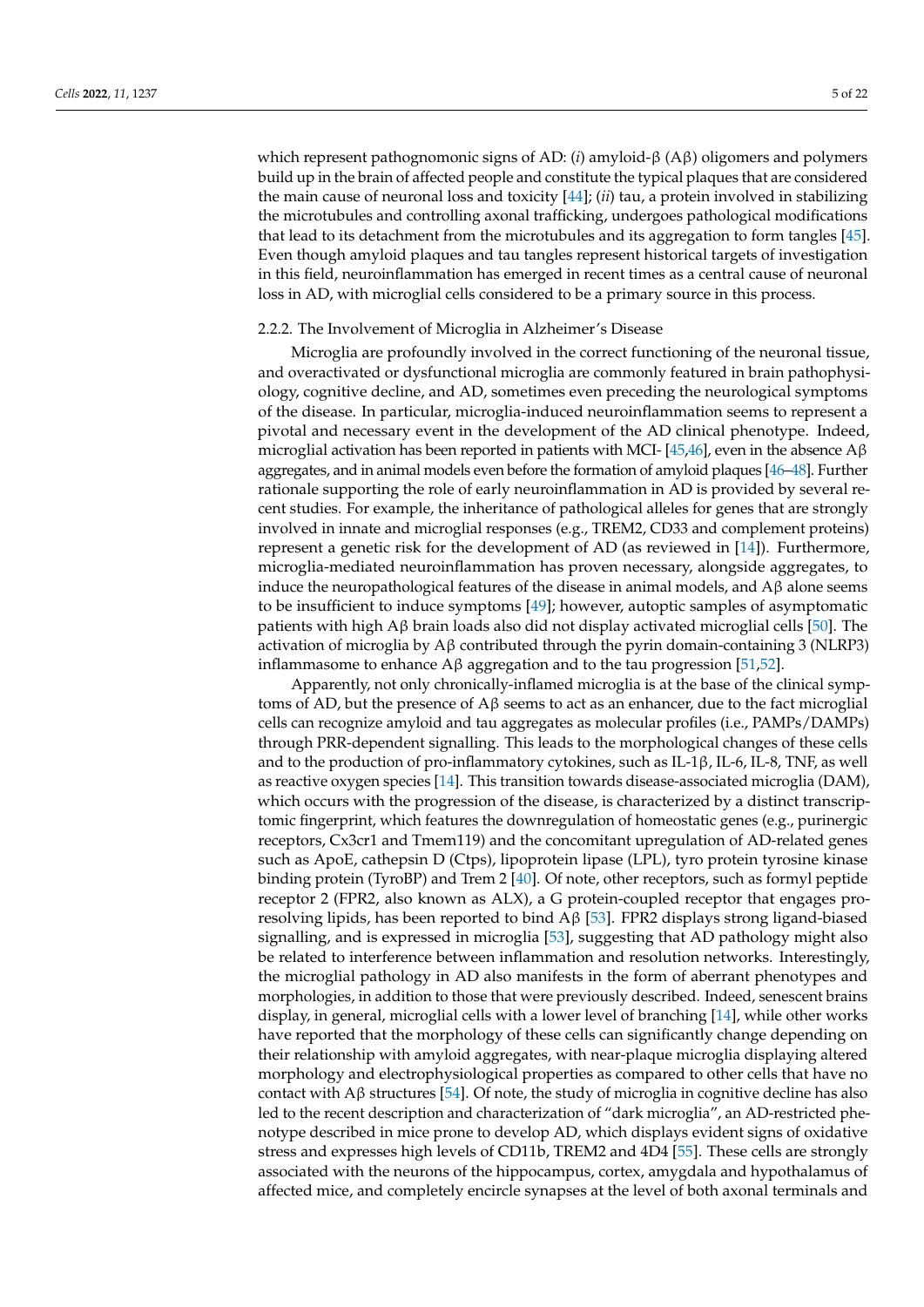which represent pathognomonic signs of AD: (*i*) amyloid-β (Aβ) oligomers and polymers build up in the brain of affected people and constitute the typical plaques that are considered the main cause of neuronal loss and toxicity [\[44\]](#page-16-26); (*ii*) tau, a protein involved in stabilizing the microtubules and controlling axonal trafficking, undergoes pathological modifications that lead to its detachment from the microtubules and its aggregation to form tangles [\[45\]](#page-16-27). Even though amyloid plaques and tau tangles represent historical targets of investigation in this field, neuroinflammation has emerged in recent times as a central cause of neuronal loss in AD, with microglial cells considered to be a primary source in this process.

#### 2.2.2. The Involvement of Microglia in Alzheimer's Disease

Microglia are profoundly involved in the correct functioning of the neuronal tissue, and overactivated or dysfunctional microglia are commonly featured in brain pathophysiology, cognitive decline, and AD, sometimes even preceding the neurological symptoms of the disease. In particular, microglia-induced neuroinflammation seems to represent a pivotal and necessary event in the development of the AD clinical phenotype. Indeed, microglial activation has been reported in patients with MCI- [\[45,](#page-16-27)[46\]](#page-17-0), even in the absence  $A\beta$ aggregates, and in animal models even before the formation of amyloid plaques [\[46–](#page-17-0)[48\]](#page-17-1). Further rationale supporting the role of early neuroinflammation in AD is provided by several recent studies. For example, the inheritance of pathological alleles for genes that are strongly involved in innate and microglial responses (e.g., TREM2, CD33 and complement proteins) represent a genetic risk for the development of AD (as reviewed in [\[14\]](#page-15-12)). Furthermore, microglia-mediated neuroinflammation has proven necessary, alongside aggregates, to induce the neuropathological features of the disease in animal models, and  $\mathbf{A}\mathbf{\beta}$  alone seems to be insufficient to induce symptoms [\[49\]](#page-17-2); however, autoptic samples of asymptomatic patients with high Aβ brain loads also did not display activated microglial cells [\[50\]](#page-17-3). The activation of microglia by  $A\beta$  contributed through the pyrin domain-containing 3 (NLRP3) inflammasome to enhance  $\widehat{A}$ β aggregation and to the tau progression [\[51](#page-17-4)[,52\]](#page-17-5).

Apparently, not only chronically-inflamed microglia is at the base of the clinical symptoms of AD, but the presence of  $A\beta$  seems to act as an enhancer, due to the fact microglial cells can recognize amyloid and tau aggregates as molecular profiles (i.e., PAMPs/DAMPs) through PRR-dependent signalling. This leads to the morphological changes of these cells and to the production of pro-inflammatory cytokines, such as IL-1 $\beta$ , IL-6, IL-8, TNF, as well as reactive oxygen species [\[14\]](#page-15-12). This transition towards disease-associated microglia (DAM), which occurs with the progression of the disease, is characterized by a distinct transcriptomic fingerprint, which features the downregulation of homeostatic genes (e.g., purinergic receptors, Cx3cr1 and Tmem119) and the concomitant upregulation of AD-related genes such as ApoE, cathepsin D (Ctps), lipoprotein lipase (LPL), tyro protein tyrosine kinase binding protein (TyroBP) and Trem 2 [\[40\]](#page-16-22). Of note, other receptors, such as formyl peptide receptor 2 (FPR2, also known as ALX), a G protein-coupled receptor that engages proresolving lipids, has been reported to bind Aβ [\[53\]](#page-17-6). FPR2 displays strong ligand-biased signalling, and is expressed in microglia [\[53\]](#page-17-6), suggesting that AD pathology might also be related to interference between inflammation and resolution networks. Interestingly, the microglial pathology in AD also manifests in the form of aberrant phenotypes and morphologies, in addition to those that were previously described. Indeed, senescent brains display, in general, microglial cells with a lower level of branching [\[14\]](#page-15-12), while other works have reported that the morphology of these cells can significantly change depending on their relationship with amyloid aggregates, with near-plaque microglia displaying altered morphology and electrophysiological properties as compared to other cells that have no contact with A $\beta$  structures [\[54\]](#page-17-7). Of note, the study of microglia in cognitive decline has also led to the recent description and characterization of "dark microglia", an AD-restricted phenotype described in mice prone to develop AD, which displays evident signs of oxidative stress and expresses high levels of CD11b, TREM2 and 4D4 [\[55\]](#page-17-8). These cells are strongly associated with the neurons of the hippocampus, cortex, amygdala and hypothalamus of affected mice, and completely encircle synapses at the level of both axonal terminals and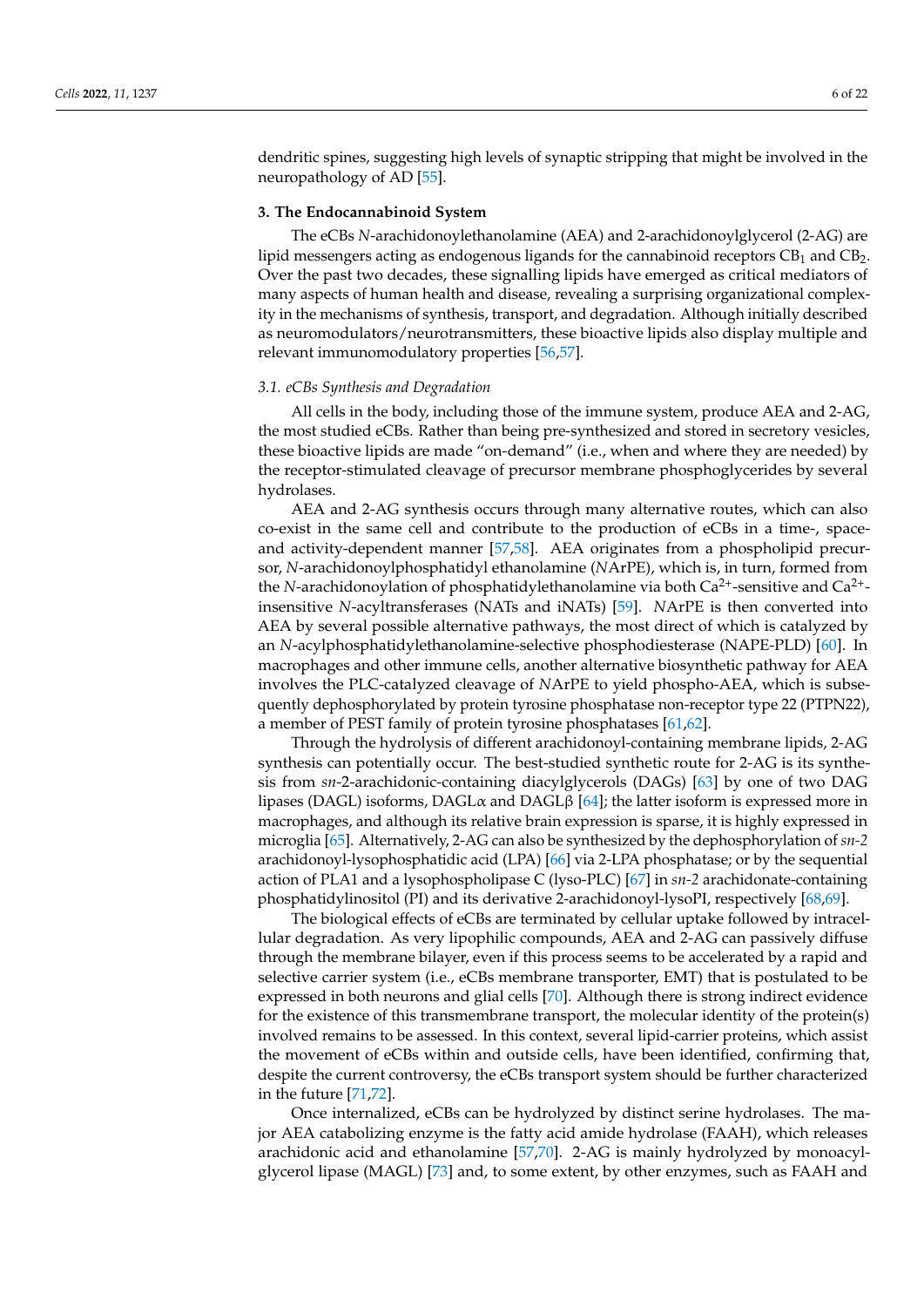dendritic spines, suggesting high levels of synaptic stripping that might be involved in the neuropathology of AD [\[55\]](#page-17-8).

### **3. The Endocannabinoid System**

The eCBs *N*-arachidonoylethanolamine (AEA) and 2-arachidonoylglycerol (2-AG) are lipid messengers acting as endogenous ligands for the cannabinoid receptors  $CB_1$  and  $CB_2$ . Over the past two decades, these signalling lipids have emerged as critical mediators of many aspects of human health and disease, revealing a surprising organizational complexity in the mechanisms of synthesis, transport, and degradation. Although initially described as neuromodulators/neurotransmitters, these bioactive lipids also display multiple and relevant immunomodulatory properties [\[56,](#page-17-9)[57\]](#page-17-10).

### *3.1. eCBs Synthesis and Degradation*

All cells in the body, including those of the immune system, produce AEA and 2-AG, the most studied eCBs. Rather than being pre-synthesized and stored in secretory vesicles, these bioactive lipids are made "on-demand" (i.e., when and where they are needed) by the receptor-stimulated cleavage of precursor membrane phosphoglycerides by several hydrolases.

AEA and 2-AG synthesis occurs through many alternative routes, which can also co-exist in the same cell and contribute to the production of eCBs in a time-, spaceand activity-dependent manner [\[57,](#page-17-10)[58\]](#page-17-11). AEA originates from a phospholipid precursor, *N*-arachidonoylphosphatidyl ethanolamine (*N*ArPE), which is, in turn, formed from the *N*-arachidonoylation of phosphatidylethanolamine via both Ca<sup>2+</sup>-sensitive and Ca<sup>2+</sup>insensitive *N*-acyltransferases (NATs and iNATs) [\[59\]](#page-17-12). *N*ArPE is then converted into AEA by several possible alternative pathways, the most direct of which is catalyzed by an *N*-acylphosphatidylethanolamine-selective phosphodiesterase (NAPE-PLD) [\[60\]](#page-17-13). In macrophages and other immune cells, another alternative biosynthetic pathway for AEA involves the PLC-catalyzed cleavage of *N*ArPE to yield phospho-AEA, which is subsequently dephosphorylated by protein tyrosine phosphatase non-receptor type 22 (PTPN22), a member of PEST family of protein tyrosine phosphatases [\[61](#page-17-14)[,62\]](#page-17-15).

Through the hydrolysis of different arachidonoyl-containing membrane lipids, 2-AG synthesis can potentially occur. The best-studied synthetic route for 2-AG is its synthesis from *sn*-2-arachidonic-containing diacylglycerols (DAGs) [\[63\]](#page-17-16) by one of two DAG lipases (DAGL) isoforms, DAGL $\alpha$  and DAGL $\beta$  [\[64\]](#page-17-17); the latter isoform is expressed more in macrophages, and although its relative brain expression is sparse, it is highly expressed in microglia [\[65\]](#page-17-18). Alternatively, 2-AG can also be synthesized by the dephosphorylation of *sn-2* arachidonoyl-lysophosphatidic acid (LPA) [\[66\]](#page-17-19) via 2-LPA phosphatase; or by the sequential action of PLA1 and a lysophospholipase C (lyso-PLC) [\[67\]](#page-17-20) in *sn-2* arachidonate-containing phosphatidylinositol (PI) and its derivative 2-arachidonoyl-lysoPI, respectively [\[68](#page-17-21)[,69\]](#page-17-22).

The biological effects of eCBs are terminated by cellular uptake followed by intracellular degradation. As very lipophilic compounds, AEA and 2-AG can passively diffuse through the membrane bilayer, even if this process seems to be accelerated by a rapid and selective carrier system (i.e., eCBs membrane transporter, EMT) that is postulated to be expressed in both neurons and glial cells [\[70\]](#page-17-23). Although there is strong indirect evidence for the existence of this transmembrane transport, the molecular identity of the protein(s) involved remains to be assessed. In this context, several lipid-carrier proteins, which assist the movement of eCBs within and outside cells, have been identified, confirming that, despite the current controversy, the eCBs transport system should be further characterized in the future [\[71](#page-18-0)[,72\]](#page-18-1).

Once internalized, eCBs can be hydrolyzed by distinct serine hydrolases. The major AEA catabolizing enzyme is the fatty acid amide hydrolase (FAAH), which releases arachidonic acid and ethanolamine [\[57](#page-17-10)[,70\]](#page-17-23). 2-AG is mainly hydrolyzed by monoacylglycerol lipase (MAGL) [\[73\]](#page-18-2) and, to some extent, by other enzymes, such as FAAH and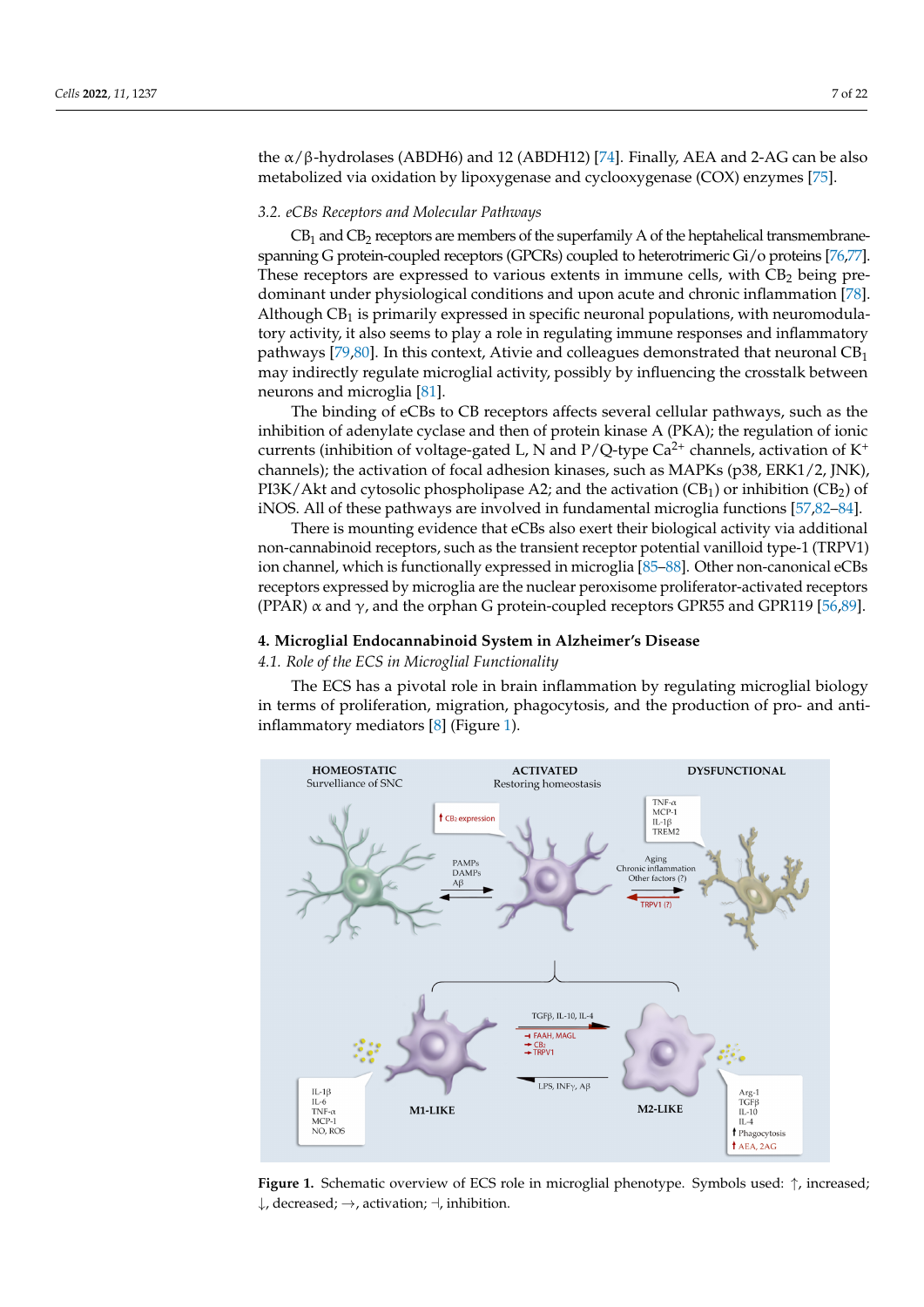the  $\alpha$ /β-hydrolases (ABDH6) and 12 (ABDH12) [\[74\]](#page-18-3). Finally, AEA and 2-AG can be also metabolized via oxidation by lipoxygenase and cyclooxygenase (COX) enzymes [\[75\]](#page-18-4).

#### *3.2. eCBs Receptors and Molecular Pathways*

 $CB_1$  and  $CB_2$  receptors are members of the superfamily A of the heptahelical transmembranespanning G protein-coupled receptors (GPCRs) coupled to heterotrimeric Gi/o proteins [\[76](#page-18-5)[,77\]](#page-18-6). These receptors are expressed to various extents in immune cells, with CB<sub>2</sub> being predominant under physiological conditions and upon acute and chronic inflammation [\[78\]](#page-18-7). Although  $CB_1$  is primarily expressed in specific neuronal populations, with neuromodulatory activity, it also seems to play a role in regulating immune responses and inflammatory pathways [\[79,](#page-18-8)[80\]](#page-18-9). In this context, Ativie and colleagues demonstrated that neuronal  $CB<sub>1</sub>$ may indirectly regulate microglial activity, possibly by influencing the crosstalk between neurons and microglia [\[81\]](#page-18-10).

The binding of eCBs to CB receptors affects several cellular pathways, such as the inhibition of adenylate cyclase and then of protein kinase A (PKA); the regulation of ionic currents (inhibition of voltage-gated L, N and P/Q-type  $Ca^{2+}$  channels, activation of  $K^+$ channels); the activation of focal adhesion kinases, such as MAPKs (p38, ERK1/2, JNK), PI3K/Akt and cytosolic phospholipase A2; and the activation  $(CB_1)$  or inhibition  $(CB_2)$  of iNOS. All of these pathways are involved in fundamental microglia functions [\[57](#page-17-10)[,82](#page-18-11)[–84\]](#page-18-12).

There is mounting evidence that eCBs also exert their biological activity via additional non-cannabinoid receptors, such as the transient receptor potential vanilloid type-1 (TRPV1) ion channel, which is functionally expressed in microglia [\[85](#page-18-13)[–88\]](#page-18-14). Other non-canonical eCBs receptors expressed by microglia are the nuclear peroxisome proliferator-activated receptors (PPAR)  $\alpha$  and  $\gamma$ , and the orphan G protein-coupled receptors GPR55 and GPR119 [\[56](#page-17-9)[,89\]](#page-18-15).

## **4. Microglial Endocannabinoid System in Alzheimer's Disease**

### *4.1. Role of the ECS in Microglial Functionality*

The ECS has a pivotal role in brain inflammation by regulating microglial biology in terms of proliferation, migration, phagocytosis, and the production of pro- and anti-inflammatory mediators [\[8\]](#page-15-7) (Figure [1\)](#page-6-0).

<span id="page-6-0"></span>

**Figure 1.** The Section of ECS role in microglial phenotype. Symbols used: ↑, increased; ↑, increased; ↑, interased; ↑, interased; ↑, interased; ↑, interased; ↑, interased; ↑, interased; ↑, interased; ↑, interased; ↑, int 4.1.1. eCBs Receptors endocytosis of the receptor. The effect was reversed by the antagonist of CB2 receptor, **Figure 1.** Schematic overview of ECS role in microglial phenotype. Symbols used: <sup>↑</sup>, increased;  $\downarrow$ , decreased;  $\rightarrow$ , activation;  $\neg$ , inhibition.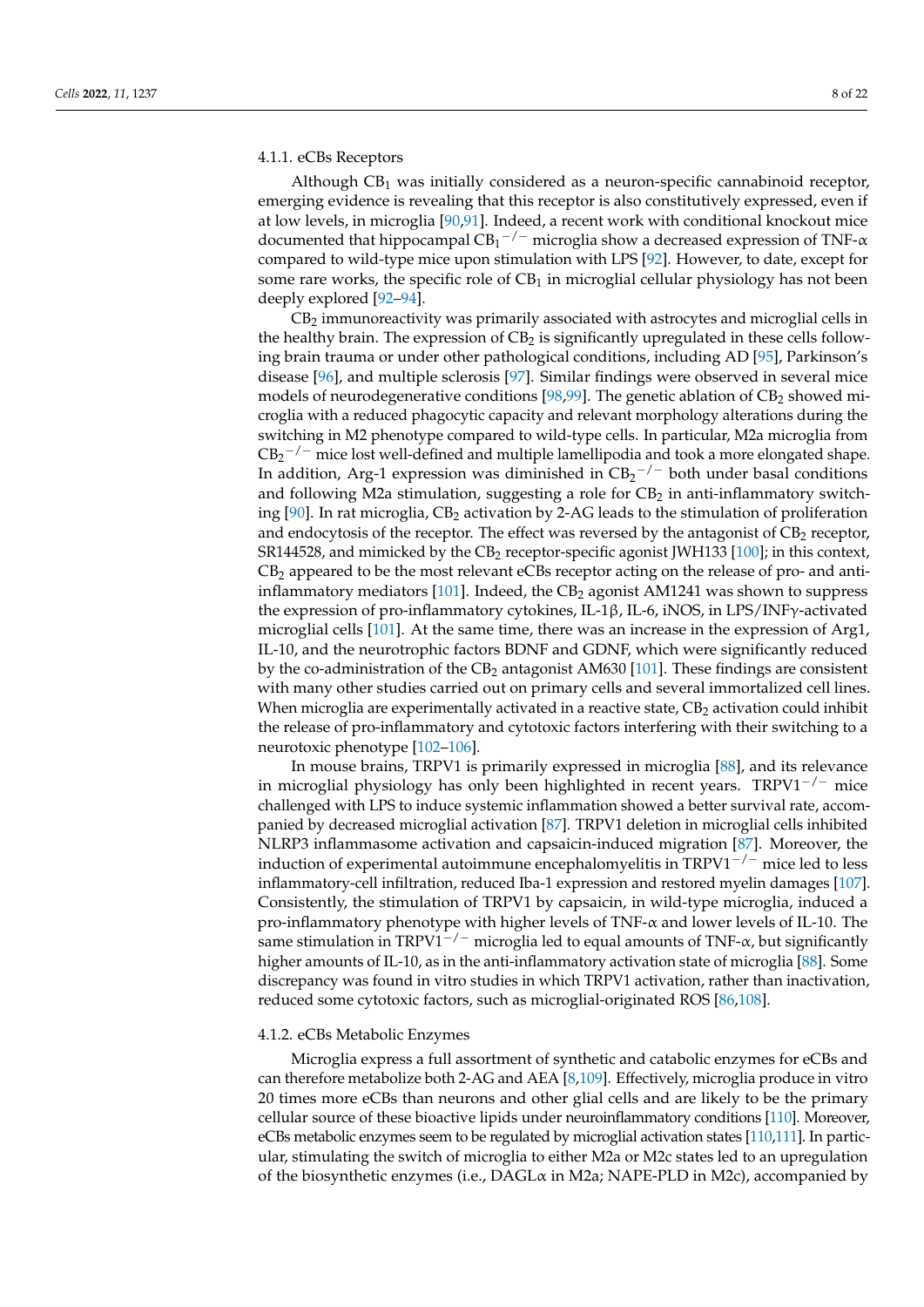## 4.1.1. eCBs Receptors

Although  $CB_1$  was initially considered as a neuron-specific cannabinoid receptor, emerging evidence is revealing that this receptor is also constitutively expressed, even if at low levels, in microglia [\[90](#page-18-16)[,91\]](#page-18-17). Indeed, a recent work with conditional knockout mice documented that hippocampal  $\text{CB}_1{}^{-/-}$  microglia show a decreased expression of TNF- $\alpha$ compared to wild-type mice upon stimulation with LPS [\[92\]](#page-18-18). However, to date, except for some rare works, the specific role of  $CB<sub>1</sub>$  in microglial cellular physiology has not been deeply explored [\[92–](#page-18-18)[94\]](#page-18-19).

CB<sup>2</sup> immunoreactivity was primarily associated with astrocytes and microglial cells in the healthy brain. The expression of  $CB<sub>2</sub>$  is significantly upregulated in these cells following brain trauma or under other pathological conditions, including AD [\[95\]](#page-18-20), Parkinson's disease [\[96\]](#page-19-0), and multiple sclerosis [\[97\]](#page-19-1). Similar findings were observed in several mice models of neurodegenerative conditions [\[98](#page-19-2)[,99\]](#page-19-3). The genetic ablation of  $CB_2$  showed microglia with a reduced phagocytic capacity and relevant morphology alterations during the switching in M2 phenotype compared to wild-type cells. In particular, M2a microglia from  $CB_2$ <sup>-/-</sup> mice lost well-defined and multiple lamellipodia and took a more elongated shape. In addition, Arg-1 expression was diminished in  $CB_2^{-/-}$  both under basal conditions and following M2a stimulation, suggesting a role for  $CB_2$  in anti-inflammatory switching  $[90]$ . In rat microglia,  $CB_2$  activation by 2-AG leads to the stimulation of proliferation and endocytosis of the receptor. The effect was reversed by the antagonist of  $CB<sub>2</sub>$  receptor, SR144528, and mimicked by the  $CB_2$  receptor-specific agonist JWH133 [\[100\]](#page-19-4); in this context,  $CB<sub>2</sub>$  appeared to be the most relevant eCBs receptor acting on the release of pro- and anti-inflammatory mediators [\[101\]](#page-19-5). Indeed, the  $CB<sub>2</sub>$  agonist AM1241 was shown to suppress the expression of pro-inflammatory cytokines, IL-1β, IL-6, iNOS, in LPS/INFγ-activated microglial cells [\[101\]](#page-19-5). At the same time, there was an increase in the expression of Arg1, IL-10, and the neurotrophic factors BDNF and GDNF, which were significantly reduced by the co-administration of the  $CB_2$  antagonist AM630 [\[101\]](#page-19-5). These findings are consistent with many other studies carried out on primary cells and several immortalized cell lines. When microglia are experimentally activated in a reactive state,  $CB_2$  activation could inhibit the release of pro-inflammatory and cytotoxic factors interfering with their switching to a neurotoxic phenotype [\[102–](#page-19-6)[106\]](#page-19-7).

In mouse brains, TRPV1 is primarily expressed in microglia [\[88\]](#page-18-14), and its relevance in microglial physiology has only been highlighted in recent years. TRPV1−/<sup>−</sup> mice challenged with LPS to induce systemic inflammation showed a better survival rate, accompanied by decreased microglial activation [\[87\]](#page-18-21). TRPV1 deletion in microglial cells inhibited NLRP3 inflammasome activation and capsaicin-induced migration [\[87\]](#page-18-21). Moreover, the induction of experimental autoimmune encephalomyelitis in  $TRPV1^{-/-}$  mice led to less inflammatory-cell infiltration, reduced Iba-1 expression and restored myelin damages [\[107\]](#page-19-8). Consistently, the stimulation of TRPV1 by capsaicin, in wild-type microglia, induced a pro-inflammatory phenotype with higher levels of TNF-α and lower levels of IL-10. The same stimulation in TRPV1<sup>-/-</sup> microglia led to equal amounts of TNF- $\alpha$ , but significantly higher amounts of IL-10, as in the anti-inflammatory activation state of microglia [\[88\]](#page-18-14). Some discrepancy was found in vitro studies in which TRPV1 activation, rather than inactivation, reduced some cytotoxic factors, such as microglial-originated ROS [\[86](#page-18-22)[,108\]](#page-19-9).

### 4.1.2. eCBs Metabolic Enzymes

Microglia express a full assortment of synthetic and catabolic enzymes for eCBs and can therefore metabolize both 2-AG and AEA [\[8](#page-15-7)[,109\]](#page-19-10). Effectively, microglia produce in vitro 20 times more eCBs than neurons and other glial cells and are likely to be the primary cellular source of these bioactive lipids under neuroinflammatory conditions [\[110\]](#page-19-11). Moreover, eCBs metabolic enzymes seem to be regulated by microglial activation states [\[110,](#page-19-11)[111\]](#page-19-12). In particular, stimulating the switch of microglia to either M2a or M2c states led to an upregulation of the biosynthetic enzymes (i.e.,  $DAGL\alpha$  in M2a;  $NAPE-PLD$  in M2c), accompanied by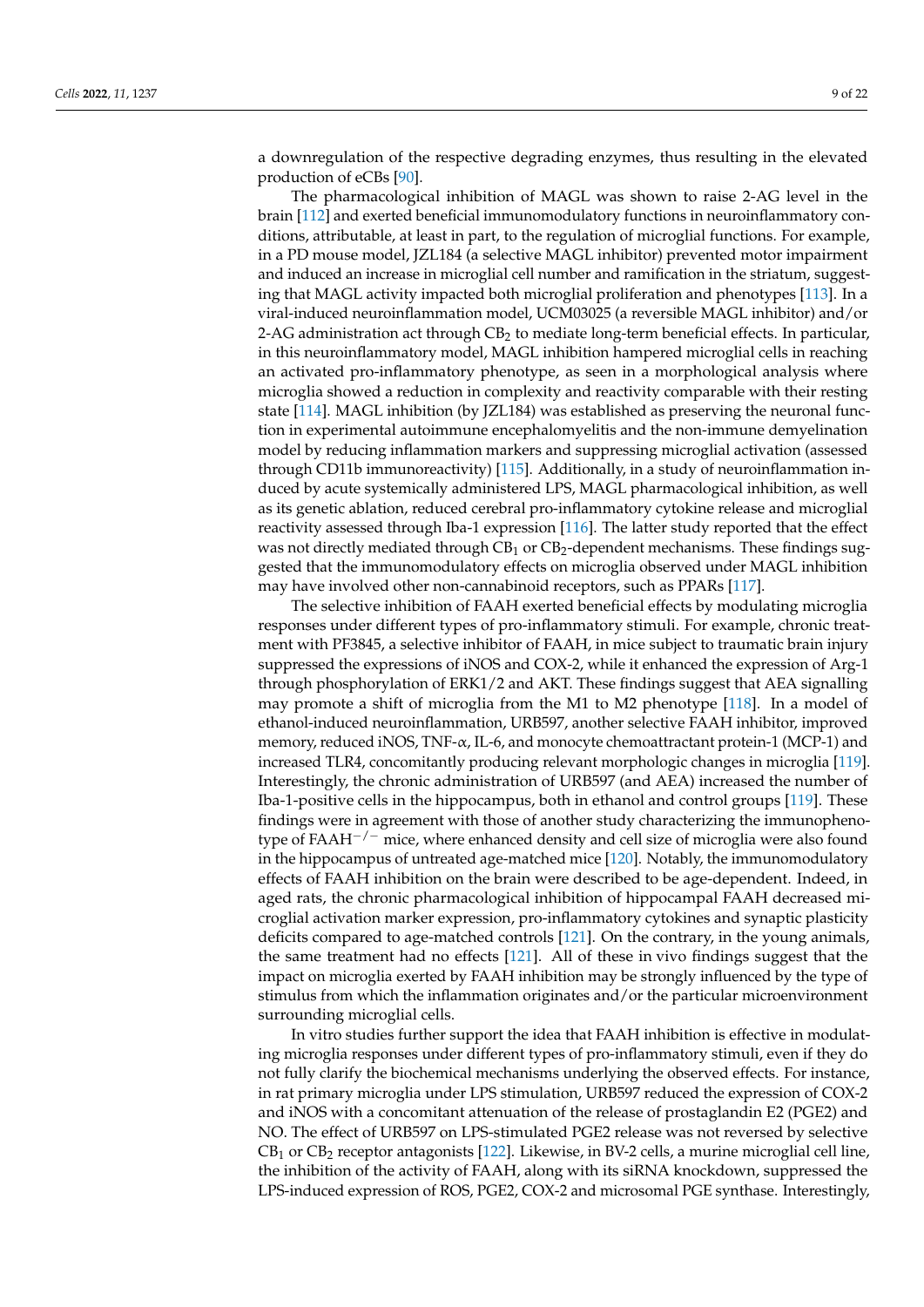a downregulation of the respective degrading enzymes, thus resulting in the elevated production of eCBs [\[90\]](#page-18-16).

The pharmacological inhibition of MAGL was shown to raise 2-AG level in the brain [\[112\]](#page-19-13) and exerted beneficial immunomodulatory functions in neuroinflammatory conditions, attributable, at least in part, to the regulation of microglial functions. For example, in a PD mouse model, JZL184 (a selective MAGL inhibitor) prevented motor impairment and induced an increase in microglial cell number and ramification in the striatum, suggesting that MAGL activity impacted both microglial proliferation and phenotypes [\[113\]](#page-19-14). In a viral-induced neuroinflammation model, UCM03025 (a reversible MAGL inhibitor) and/or 2-AG administration act through  $CB_2$  to mediate long-term beneficial effects. In particular, in this neuroinflammatory model, MAGL inhibition hampered microglial cells in reaching an activated pro-inflammatory phenotype, as seen in a morphological analysis where microglia showed a reduction in complexity and reactivity comparable with their resting state [\[114\]](#page-19-15). MAGL inhibition (by JZL184) was established as preserving the neuronal function in experimental autoimmune encephalomyelitis and the non-immune demyelination model by reducing inflammation markers and suppressing microglial activation (assessed through CD11b immunoreactivity) [\[115\]](#page-19-16). Additionally, in a study of neuroinflammation induced by acute systemically administered LPS, MAGL pharmacological inhibition, as well as its genetic ablation, reduced cerebral pro-inflammatory cytokine release and microglial reactivity assessed through Iba-1 expression [\[116\]](#page-19-17). The latter study reported that the effect was not directly mediated through  $CB_1$  or  $CB_2$ -dependent mechanisms. These findings suggested that the immunomodulatory effects on microglia observed under MAGL inhibition may have involved other non-cannabinoid receptors, such as PPARs [\[117\]](#page-19-18).

The selective inhibition of FAAH exerted beneficial effects by modulating microglia responses under different types of pro-inflammatory stimuli. For example, chronic treatment with PF3845, a selective inhibitor of FAAH, in mice subject to traumatic brain injury suppressed the expressions of iNOS and COX-2, while it enhanced the expression of Arg-1 through phosphorylation of ERK1/2 and AKT. These findings suggest that AEA signalling may promote a shift of microglia from the M1 to M2 phenotype [\[118\]](#page-19-19). In a model of ethanol-induced neuroinflammation, URB597, another selective FAAH inhibitor, improved memory, reduced iNOS, TNF-α, IL-6, and monocyte chemoattractant protein-1 (MCP-1) and increased TLR4, concomitantly producing relevant morphologic changes in microglia [\[119\]](#page-20-0). Interestingly, the chronic administration of URB597 (and AEA) increased the number of Iba-1-positive cells in the hippocampus, both in ethanol and control groups [\[119\]](#page-20-0). These findings were in agreement with those of another study characterizing the immunophenotype of  $FAAH^{-/-}$  mice, where enhanced density and cell size of microglia were also found in the hippocampus of untreated age-matched mice [\[120\]](#page-20-1). Notably, the immunomodulatory effects of FAAH inhibition on the brain were described to be age-dependent. Indeed, in aged rats, the chronic pharmacological inhibition of hippocampal FAAH decreased microglial activation marker expression, pro-inflammatory cytokines and synaptic plasticity deficits compared to age-matched controls [\[121\]](#page-20-2). On the contrary, in the young animals, the same treatment had no effects [\[121\]](#page-20-2). All of these in vivo findings suggest that the impact on microglia exerted by FAAH inhibition may be strongly influenced by the type of stimulus from which the inflammation originates and/or the particular microenvironment surrounding microglial cells.

In vitro studies further support the idea that FAAH inhibition is effective in modulating microglia responses under different types of pro-inflammatory stimuli, even if they do not fully clarify the biochemical mechanisms underlying the observed effects. For instance, in rat primary microglia under LPS stimulation, URB597 reduced the expression of COX-2 and iNOS with a concomitant attenuation of the release of prostaglandin E2 (PGE2) and NO. The effect of URB597 on LPS-stimulated PGE2 release was not reversed by selective  $CB<sub>1</sub>$  or  $CB<sub>2</sub>$  receptor antagonists [\[122\]](#page-20-3). Likewise, in BV-2 cells, a murine microglial cell line, the inhibition of the activity of FAAH, along with its siRNA knockdown, suppressed the LPS-induced expression of ROS, PGE2, COX-2 and microsomal PGE synthase. Interestingly,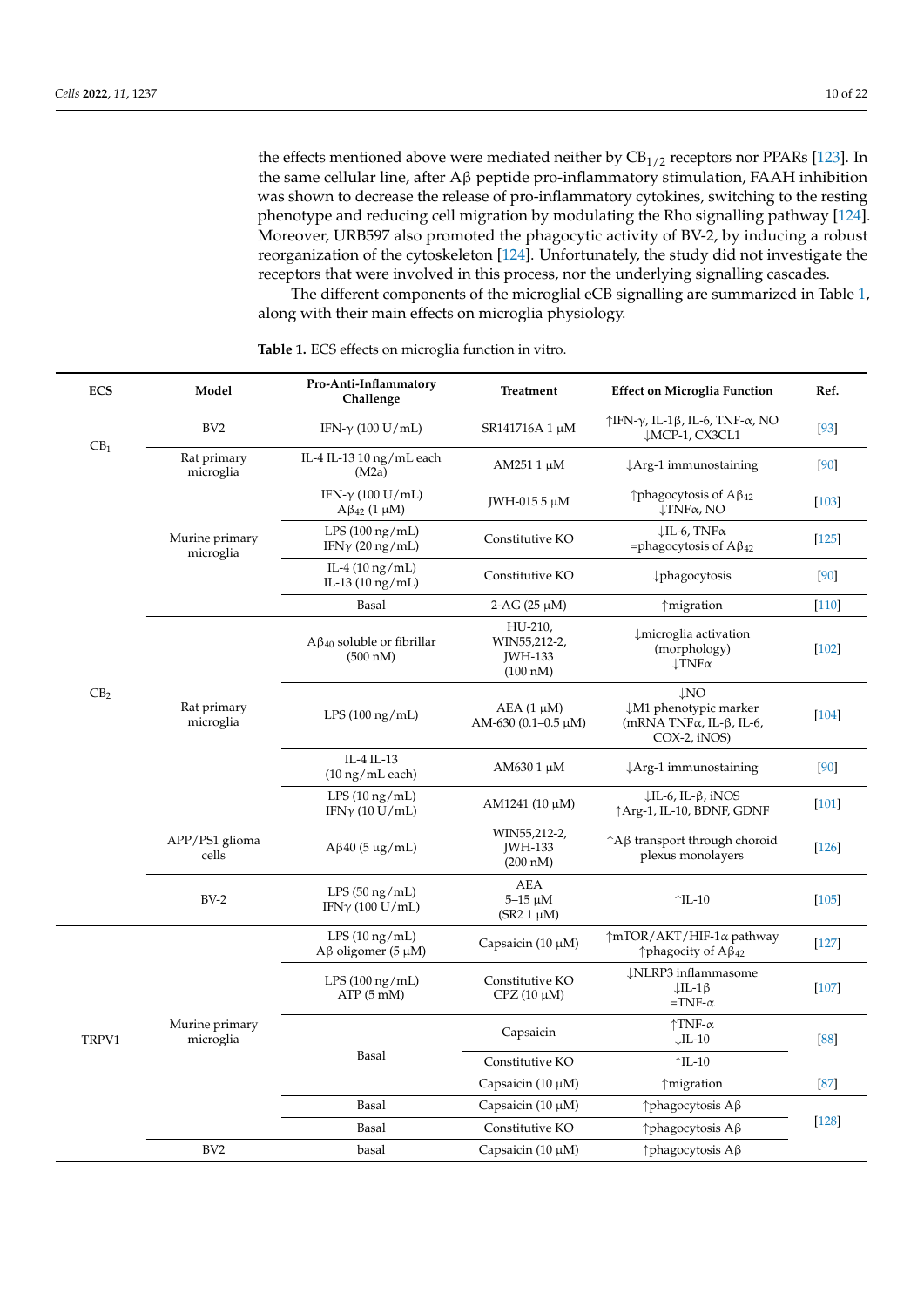the effects mentioned above were mediated neither by  $CB_{1/2}$  receptors nor PPARs [\[123\]](#page-20-4). In the same cellular line, after Aβ peptide pro-inflammatory stimulation, FAAH inhibition was shown to decrease the release of pro-inflammatory cytokines, switching to the resting phenotype and reducing cell migration by modulating the Rho signalling pathway [\[124\]](#page-20-5). Moreover, URB597 also promoted the phagocytic activity of BV-2, by inducing a robust reorganization of the cytoskeleton [\[124\]](#page-20-5). Unfortunately, the study did not investigate the receptors that were involved in this process, nor the underlying signalling cascades.

The different components of the microglial eCB signalling are summarized in Table [1,](#page-10-0) along with their main effects on microglia physiology.

| <b>ECS</b>      | Model                       | Pro-Anti-Inflammatory<br>Challenge                    | Treatment                                                                                                                                                    | <b>Effect on Microglia Function</b>                                                    | Ref.    |
|-----------------|-----------------------------|-------------------------------------------------------|--------------------------------------------------------------------------------------------------------------------------------------------------------------|----------------------------------------------------------------------------------------|---------|
| CB <sub>1</sub> | BV <sub>2</sub>             | IFN- $\gamma$ (100 U/mL)                              | SR141716A 1 μM                                                                                                                                               | $\uparrow$ IFN- $\gamma$ , IL-1 $\beta$ , IL-6, TNF- $\alpha$ , NO<br>↓MCP-1, CX3CL1   | $[93]$  |
|                 | Rat primary<br>microglia    | IL-4 IL-13 10 ng/mL each<br>(M2a)                     | AM251 1 μM                                                                                                                                                   | $\downarrow$ Arg-1 immunostaining                                                      | [90]    |
|                 |                             | IFN- $\gamma$ (100 U/mL)<br>$A\beta_{42}$ (1 µM)      | JWH-015 5 μM                                                                                                                                                 | $\uparrow$ phagocytosis of A $\upbeta_{42}$<br>$\downarrow$ TNF $\alpha$ , NO          | $[103]$ |
|                 | Murine primary<br>microglia | LPS $(100 \text{ ng/mL})$<br>IFN $\gamma$ (20 ng/mL)  | Constitutive KO                                                                                                                                              | $\downarrow$ IL-6, TNF $\alpha$<br>=phagocytosis of $A\beta_{42}$                      | $[125]$ |
|                 |                             | IL-4 $(10 \text{ ng/mL})$<br>IL-13 (10 ng/mL)         | Constitutive KO                                                                                                                                              | phagocytosis                                                                           | $[90]$  |
|                 |                             | Basal                                                 | 2-AG $(25 \mu M)$                                                                                                                                            | ↑migration                                                                             | $[110]$ |
| CB <sub>2</sub> |                             | $A\beta_{40}$ soluble or fibrillar<br>(500 nM)        | HU-210,<br>WIN55,212-2,<br>JWH-133<br>$(100 \text{ nM})$                                                                                                     | $\downarrow$ microglia activation<br>(morphology)<br>$\downarrow$ TNF $\alpha$         | $[102]$ |
|                 | Rat primary<br>microglia    | $LPS(100\,ng/mL)$                                     | $\downarrow$ NO<br><b>JM1</b> phenotypic marker<br>$AEA$ (1 $\mu$ M)<br>(mRNA TNF $\alpha$ , IL- $\beta$ , IL-6,<br>AM-630 (0.1-0.5 $\mu$ M)<br>COX-2, iNOS) |                                                                                        | $[104]$ |
|                 |                             | IL-4 IL-13<br>$(10 \text{ ng/mL}$ each)               | AM630 1 μM                                                                                                                                                   | $\downarrow$ Arg-1 immunostaining                                                      | $[90]$  |
|                 |                             | $LPS(10\,\mathrm{ng/mL})$<br>IFN $\gamma$ (10 U/mL)   | $AM1241 (10 \mu M)$                                                                                                                                          | $\downarrow$ IL-6, IL- $\beta$ , iNOS<br>↑Arg-1, IL-10, BDNF, GDNF                     | $[101]$ |
|                 | APP/PS1 glioma<br>cells     | $A\beta$ 40 (5 µg/mL)                                 | WIN55,212-2,<br><b>JWH-133</b><br>(200 nM)                                                                                                                   | $\uparrow$ A $\upbeta$ transport through choroid<br>plexus monolayers                  | $[126]$ |
|                 | $BV-2$                      | LPS(50 ng/mL)<br>IFN $\gamma$ (100 U/mL)              | <b>AEA</b><br>$5-15 \mu M$<br>$(SR2 1 \mu M)$                                                                                                                | $\uparrow$ IL-10                                                                       | $[105]$ |
| TRPV1           |                             | $LPS(10\,\mathrm{ng/mL})$<br>$A\beta$ oligomer (5 µM) | Capsaicin $(10 \mu M)$                                                                                                                                       | $\uparrow$ mTOR/AKT/HIF-1 $\alpha$ pathway<br>$\uparrow$ phagocity of A $\upbeta_{42}$ | $[127]$ |
|                 |                             | $LPS(100\ng/mL)$<br>ATP(5 <sub>m</sub> M)             | Constitutive KO<br>$CPZ(10 \mu M)$                                                                                                                           | <b>ĮNLRP3</b> inflammasome<br>$\downarrow$ IL-1 $\upbeta$<br>$=$ TNF- $\alpha$         |         |
|                 | Murine primary<br>microglia | Basal                                                 | Capsaicin                                                                                                                                                    | $\uparrow$ TNF- $\alpha$<br>$\downarrow$ IL-10                                         | [88]    |
|                 |                             |                                                       | Constitutive KO                                                                                                                                              | $\uparrow$ IL-10                                                                       |         |
|                 |                             |                                                       | Capsaicin (10 µM)                                                                                                                                            | ↑migration                                                                             | [87]    |
|                 |                             | Basal                                                 | Capsaicin $(10 \mu M)$                                                                                                                                       | ↑ phagocytosis Aβ                                                                      |         |
|                 |                             | Basal                                                 | Constitutive KO                                                                                                                                              | $\uparrow$ phagocytosis A $\upbeta$                                                    | $[128]$ |
|                 | BV <sub>2</sub>             | basal                                                 | Capsaicin $(10 \mu M)$                                                                                                                                       | ↑ phagocytosis Aβ                                                                      |         |

**Table 1.** ECS effects on microglia function in vitro.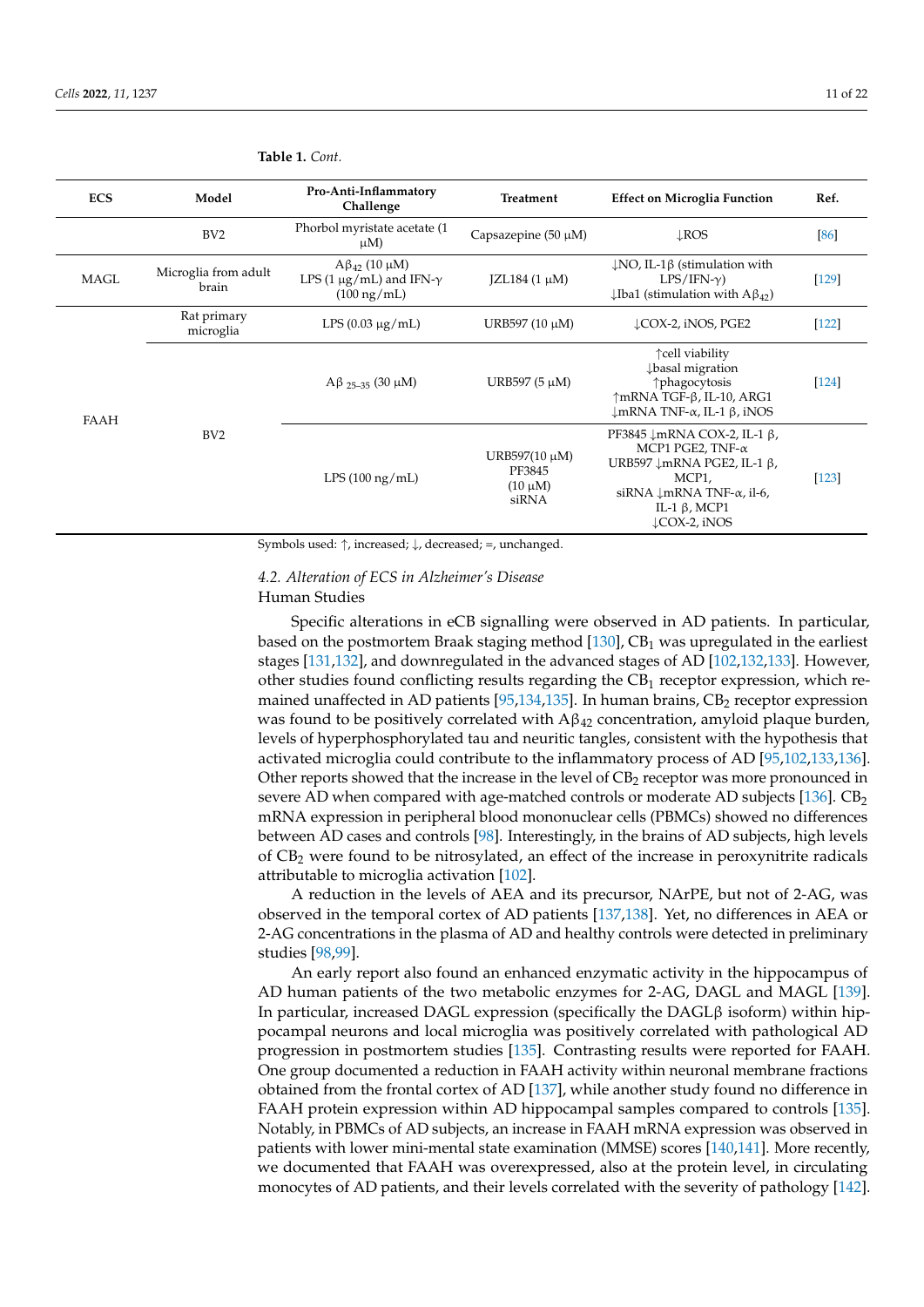| <b>ECS</b>  | Model                         | Pro-Anti-Inflammatory<br>Challenge                                                     | <b>Effect on Microglia Function</b><br>Treatment |                                                                                                                                                                                                                                          | Ref.    |
|-------------|-------------------------------|----------------------------------------------------------------------------------------|--------------------------------------------------|------------------------------------------------------------------------------------------------------------------------------------------------------------------------------------------------------------------------------------------|---------|
|             | BV2                           | Phorbol myristate acetate (1<br>$\mu$ M)                                               | Capsazepine $(50 \mu M)$                         | $\downarrow$ ROS                                                                                                                                                                                                                         | [86]    |
| <b>MAGL</b> | Microglia from adult<br>brain | $A\beta_{42}$ (10 µM)<br>LPS (1 $\mu$ g/mL) and IFN- $\gamma$<br>$(100 \text{ ng/mL})$ | $IZL184(1 \mu M)$                                | $\downarrow$ NO, IL-1 $\upbeta$ (stimulation with<br>$LPS/IFN-\gamma$ )<br>$\downarrow$ Iba1 (stimulation with A $\beta_{42}$ )                                                                                                          | $[129]$ |
| FAAH        | Rat primary<br>microglia      | LPS $(0.03 \mu g/mL)$                                                                  | URB597 $(10 \mu M)$                              | LCOX-2, iNOS, PGE2                                                                                                                                                                                                                       | $[122]$ |
|             | BV <sub>2</sub>               | $A\beta_{25-35}$ (30 µM)                                                               | URB597 (5 µM)                                    | ↑ cell viability<br><b>J</b> basal migration<br>↑phagocytosis<br>↑mRNA TGF-β, IL-10, ARG1<br>$\downarrow$ mRNA TNF- $\alpha$ , IL-1 $\beta$ , iNOS                                                                                       | $[124]$ |
|             |                               | $LPS(100\,\mathrm{ng/mL})$                                                             | URB597(10 µM)<br>PF3845<br>$(10 \mu M)$<br>siRNA | PF3845 $\downarrow$ mRNA COX-2, IL-1 $\beta$ ,<br>MCP1 PGE2, TNF- $\alpha$<br>URB597 $\downarrow$ mRNA PGE2, IL-1 $\beta$ ,<br>MCP1,<br>siRNA $\downarrow$ mRNA TNF- $\alpha$ , il-6,<br>IL-1 $\beta$ , MCP1<br>$\downarrow$ COX-2, iNOS | $[123]$ |

<span id="page-10-0"></span>**Table 1.** *Cont.*

Symbols used: ↑, increased; ↓, decreased; =, unchanged.

# *4.2. Alteration of ECS in Alzheimer's Disease*

# Human Studies

Specific alterations in eCB signalling were observed in AD patients. In particular, based on the postmortem Braak staging method  $[130]$ , CB<sub>1</sub> was upregulated in the earliest stages [\[131,](#page-20-12)[132\]](#page-20-13), and downregulated in the advanced stages of AD [\[102](#page-19-6)[,132,](#page-20-13)[133\]](#page-20-14). However, other studies found conflicting results regarding the CB<sup>1</sup> receptor expression, which re-mained unaffected in AD patients [\[95,](#page-18-20)[134,](#page-20-15)[135\]](#page-20-16). In human brains, CB<sub>2</sub> receptor expression was found to be positively correlated with  $A\beta_{42}$  concentration, amyloid plaque burden, levels of hyperphosphorylated tau and neuritic tangles, consistent with the hypothesis that activated microglia could contribute to the inflammatory process of AD [\[95,](#page-18-20)[102,](#page-19-6)[133,](#page-20-14)[136\]](#page-20-17). Other reports showed that the increase in the level of  $CB<sub>2</sub>$  receptor was more pronounced in severe AD when compared with age-matched controls or moderate AD subjects [\[136\]](#page-20-17).  $CB<sub>2</sub>$ mRNA expression in peripheral blood mononuclear cells (PBMCs) showed no differences between AD cases and controls [\[98\]](#page-19-2). Interestingly, in the brains of AD subjects, high levels of  $CB_2$  were found to be nitrosylated, an effect of the increase in peroxynitrite radicals attributable to microglia activation [\[102\]](#page-19-6).

A reduction in the levels of AEA and its precursor, NArPE, but not of 2-AG, was observed in the temporal cortex of AD patients [\[137](#page-20-18)[,138\]](#page-20-19). Yet, no differences in AEA or 2-AG concentrations in the plasma of AD and healthy controls were detected in preliminary studies [\[98,](#page-19-2)[99\]](#page-19-3).

An early report also found an enhanced enzymatic activity in the hippocampus of AD human patients of the two metabolic enzymes for 2-AG, DAGL and MAGL [\[139\]](#page-20-20). In particular, increased DAGL expression (specifically the DAGL $\beta$  isoform) within hippocampal neurons and local microglia was positively correlated with pathological AD progression in postmortem studies [\[135\]](#page-20-16). Contrasting results were reported for FAAH. One group documented a reduction in FAAH activity within neuronal membrane fractions obtained from the frontal cortex of AD [\[137\]](#page-20-18), while another study found no difference in FAAH protein expression within AD hippocampal samples compared to controls [\[135\]](#page-20-16). Notably, in PBMCs of AD subjects, an increase in FAAH mRNA expression was observed in patients with lower mini-mental state examination (MMSE) scores [\[140](#page-20-21)[,141\]](#page-20-22). More recently, we documented that FAAH was overexpressed, also at the protein level, in circulating monocytes of AD patients, and their levels correlated with the severity of pathology [\[142\]](#page-20-23).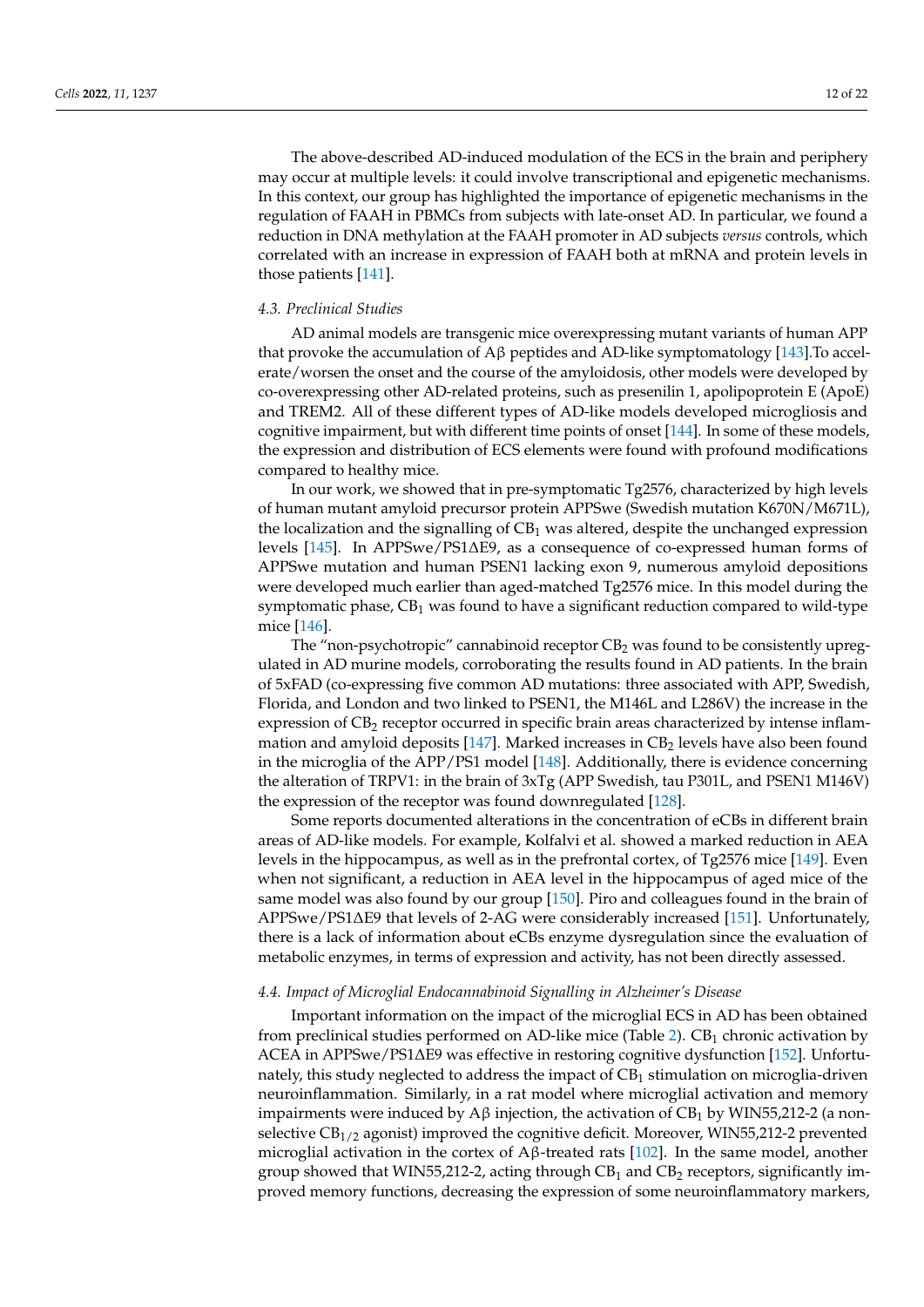The above-described AD-induced modulation of the ECS in the brain and periphery may occur at multiple levels: it could involve transcriptional and epigenetic mechanisms. In this context, our group has highlighted the importance of epigenetic mechanisms in the regulation of FAAH in PBMCs from subjects with late-onset AD. In particular, we found a reduction in DNA methylation at the FAAH promoter in AD subjects *versus* controls, which correlated with an increase in expression of FAAH both at mRNA and protein levels in those patients [\[141\]](#page-20-22).

## *4.3. Preclinical Studies*

AD animal models are transgenic mice overexpressing mutant variants of human APP that provoke the accumulation of Aβ peptides and AD-like symptomatology [\[143\]](#page-21-0).To accelerate/worsen the onset and the course of the amyloidosis, other models were developed by co-overexpressing other AD-related proteins, such as presenilin 1, apolipoprotein E (ApoE) and TREM2. All of these different types of AD-like models developed microgliosis and cognitive impairment, but with different time points of onset [\[144\]](#page-21-1). In some of these models, the expression and distribution of ECS elements were found with profound modifications compared to healthy mice.

In our work, we showed that in pre-symptomatic Tg2576, characterized by high levels of human mutant amyloid precursor protein APPSwe (Swedish mutation K670N/M671L), the localization and the signalling of  $CB_1$  was altered, despite the unchanged expression levels [\[145\]](#page-21-2). In APPSwe/PS1∆E9, as a consequence of co-expressed human forms of APPSwe mutation and human PSEN1 lacking exon 9, numerous amyloid depositions were developed much earlier than aged-matched Tg2576 mice. In this model during the symptomatic phase,  $CB_1$  was found to have a significant reduction compared to wild-type mice [\[146\]](#page-21-3).

The "non-psychotropic" cannabinoid receptor  $CB<sub>2</sub>$  was found to be consistently upregulated in AD murine models, corroborating the results found in AD patients. In the brain of 5xFAD (co-expressing five common AD mutations: three associated with APP, Swedish, Florida, and London and two linked to PSEN1, the M146L and L286V) the increase in the expression of CB<sub>2</sub> receptor occurred in specific brain areas characterized by intense inflammation and amyloid deposits  $[147]$ . Marked increases in CB<sub>2</sub> levels have also been found in the microglia of the APP/PS1 model [\[148\]](#page-21-5). Additionally, there is evidence concerning the alteration of TRPV1: in the brain of 3xTg (APP Swedish, tau P301L, and PSEN1 M146V) the expression of the receptor was found downregulated [\[128\]](#page-20-9).

Some reports documented alterations in the concentration of eCBs in different brain areas of AD-like models. For example, Kolfalvi et al. showed a marked reduction in AEA levels in the hippocampus, as well as in the prefrontal cortex, of Tg2576 mice [\[149\]](#page-21-6). Even when not significant, a reduction in AEA level in the hippocampus of aged mice of the same model was also found by our group [\[150\]](#page-21-7). Piro and colleagues found in the brain of APPSwe/PS1∆E9 that levels of 2-AG were considerably increased [\[151\]](#page-21-8). Unfortunately, there is a lack of information about eCBs enzyme dysregulation since the evaluation of metabolic enzymes, in terms of expression and activity, has not been directly assessed.

## *4.4. Impact of Microglial Endocannabinoid Signalling in Alzheimer's Disease*

Important information on the impact of the microglial ECS in AD has been obtained from preclinical studies performed on AD-like mice (Table [2\)](#page-13-0).  $CB<sub>1</sub>$  chronic activation by ACEA in APPSwe/PS1∆E9 was effective in restoring cognitive dysfunction [\[152\]](#page-21-9). Unfortunately, this study neglected to address the impact of  $CB<sub>1</sub>$  stimulation on microglia-driven neuroinflammation. Similarly, in a rat model where microglial activation and memory impairments were induced by A $\beta$  injection, the activation of CB<sub>1</sub> by WIN55,212-2 (a nonselective  $CB_{1/2}$  agonist) improved the cognitive deficit. Moreover, WIN55,212-2 prevented microglial activation in the cortex of  $A\beta$ -treated rats [\[102\]](#page-19-6). In the same model, another group showed that WIN55,212-2, acting through  $CB<sub>1</sub>$  and  $CB<sub>2</sub>$  receptors, significantly improved memory functions, decreasing the expression of some neuroinflammatory markers,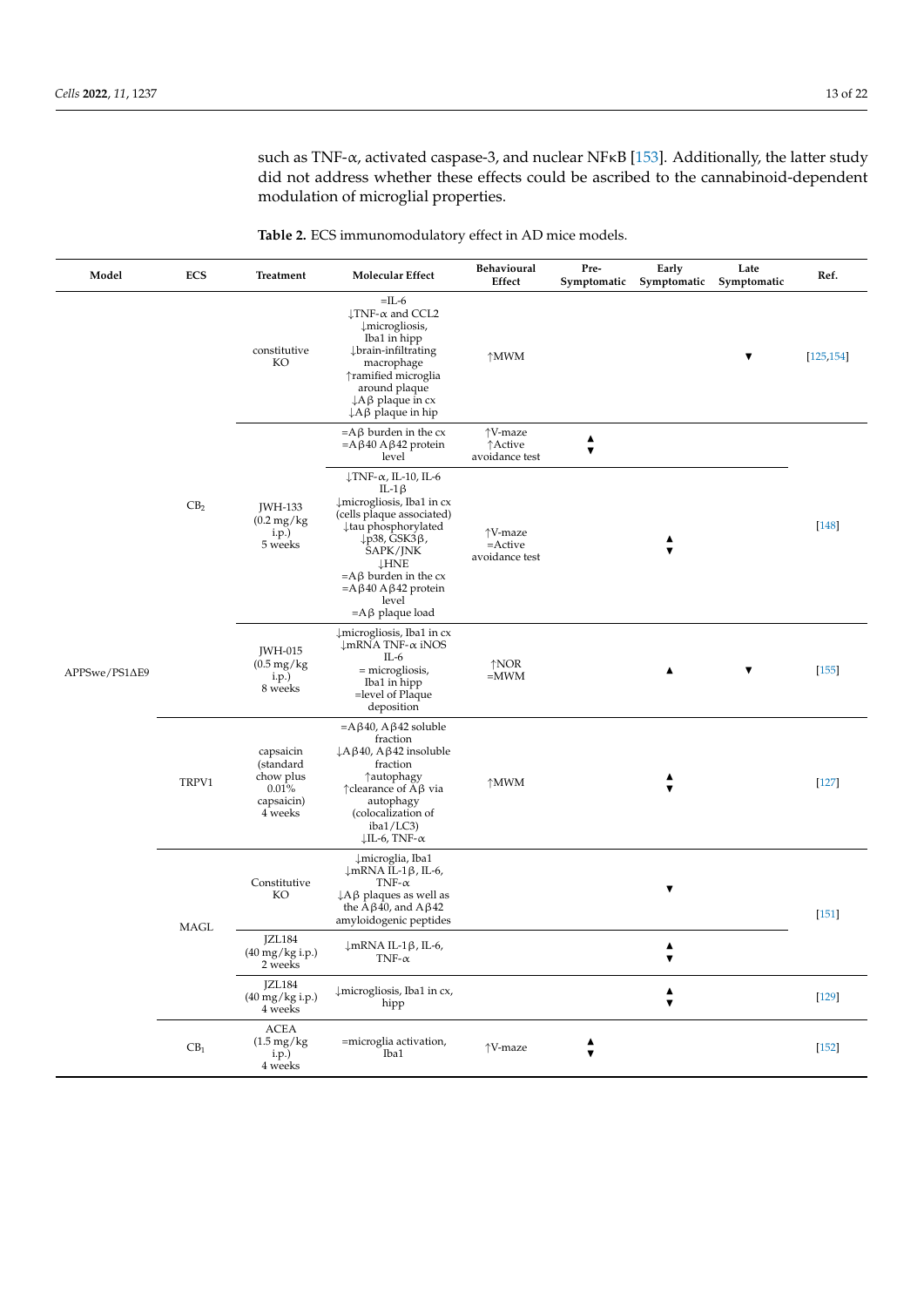such as TNF-α, activated caspase-3, and nuclear NFκB [\[153\]](#page-21-10). Additionally, the latter study did not address whether these effects could be ascribed to the cannabinoid-dependent modulation of microglial properties.

**Table 2.** ECS immunomodulatory effect in AD mice models.

| Model         | <b>ECS</b>      | Treatment                                                                | <b>Molecular Effect</b>                                                                                                                                                                                                                                                                                      | Behavioural<br>Effect                   | Pre-<br>Symptomatic       | Early<br>Symptomatic                     | Late<br>Symptomatic | Ref.       |
|---------------|-----------------|--------------------------------------------------------------------------|--------------------------------------------------------------------------------------------------------------------------------------------------------------------------------------------------------------------------------------------------------------------------------------------------------------|-----------------------------------------|---------------------------|------------------------------------------|---------------------|------------|
|               |                 | constitutive<br>KO                                                       | $=$ IL-6<br>$\downarrow$ TNF- $\alpha$ and CCL2<br>$\downarrow$ microgliosis,<br>Iba1 in hipp<br>↓brain-infiltrating<br>macrophage<br>↑ramified microglia<br>around plaque<br>$\downarrow$ A $\upbeta$ plaque in cx<br>$\downarrow$ A $\upbeta$ plaque in hip                                                | $\uparrow$ MWM                          |                           |                                          | ▼                   | [125, 154] |
|               | CB <sub>2</sub> | JWH-133<br>$(0.2 \text{ mg/kg})$<br>i.p.)<br>5 weeks                     | $=$ A $\beta$ burden in the cx<br>$=A\beta 40 A\beta 42$ protein<br>level                                                                                                                                                                                                                                    | ↑V-maze<br>↑Active<br>avoidance test    | ▲<br>$\blacktriangledown$ |                                          |                     | $[148]$    |
|               |                 |                                                                          | $\downarrow$ TNF- $\alpha$ , IL-10, IL-6<br>IL-1 $\beta$<br>↓microgliosis, Iba1 in cx<br>(cells plaque associated)<br>↓tau phosphorylated<br>$\downarrow$ p38, GSK3 $\beta$ ,<br>SAPK/JNK<br><b>LHNE</b><br>$=A\beta$ burden in the cx<br>$=A \beta 40 A \beta 42$ protein<br>level<br>$=A\beta$ plaque load | ↑V-maze<br>$=$ Active<br>avoidance test |                           | ▲<br>▼                                   |                     |            |
| APPSwe/PS1ΔE9 |                 | JWH-015<br>$(0.5 \text{ mg/kg})$<br>i.p.)<br>8 weeks                     | $\downarrow$ microgliosis, Iba1 in cx<br>$\downarrow$ mRNA TNF- $\alpha$ iNOS<br>$IL-6$<br>= microgliosis,<br>Iba1 in hipp<br>=level of Plaque<br>deposition                                                                                                                                                 | $\uparrow$ NOR<br>$=$ MWM               |                           | ▲                                        | ▼                   | [155]      |
|               | TRPV1           | capsaicin<br>(standard<br>chow plus<br>$0.01\%$<br>capsaicin)<br>4 weeks | $=A\beta 40$ , A $\beta 42$ soluble<br>fraction<br>$\downarrow$ A $\upbeta$ 40, A $\upbeta$ 42 insoluble<br>fraction<br>↑autophagy<br>$\uparrow$ clearance of A $\upbeta$ via<br>autophagy<br>(colocalization of<br>iba1/LC3)<br>$\downarrow$ IL-6, TNF- $\alpha$                                            | $\uparrow$ MWM                          |                           | ▲<br>▼                                   |                     | $[127]$    |
|               | <b>MAGL</b>     | Constitutive<br>KO                                                       | ↓microglia, Iba1<br>↓mRNA IL-1β, IL-6,<br>TNF- $\alpha$<br>$\downarrow$ A $\upbeta$ plaques as well as<br>the A $\beta$ 40, and A $\beta$ 42<br>amyloidogenic peptides                                                                                                                                       |                                         |                           | $\blacktriangledown$                     |                     | $[151]$    |
|               |                 | JZL184<br>$(40~{\rm mg/kg}$ i.p.) $2~{\rm weeks}$                        | ↓mRNA IL-1β, IL-6,<br>TNF- $\alpha$                                                                                                                                                                                                                                                                          |                                         |                           | ▲                                        |                     |            |
|               |                 | JZL184<br>$(40 \,\text{mg/kg} \, \text{i.p.})$<br>4 weeks                | ↓ microgliosis, Iba1 in cx,<br>hipp                                                                                                                                                                                                                                                                          |                                         |                           | $\blacktriangle$<br>$\blacktriangledown$ |                     | $[129]$    |
|               | $\text{CB}_1$   | ACEA<br>$(1.5 \text{ mg/kg})$<br>i.p.)<br>4 weeks                        | =microglia activation,<br>Iba1                                                                                                                                                                                                                                                                               | ↑V-maze                                 | ▲<br>$\blacktriangledown$ |                                          |                     | $[152]$    |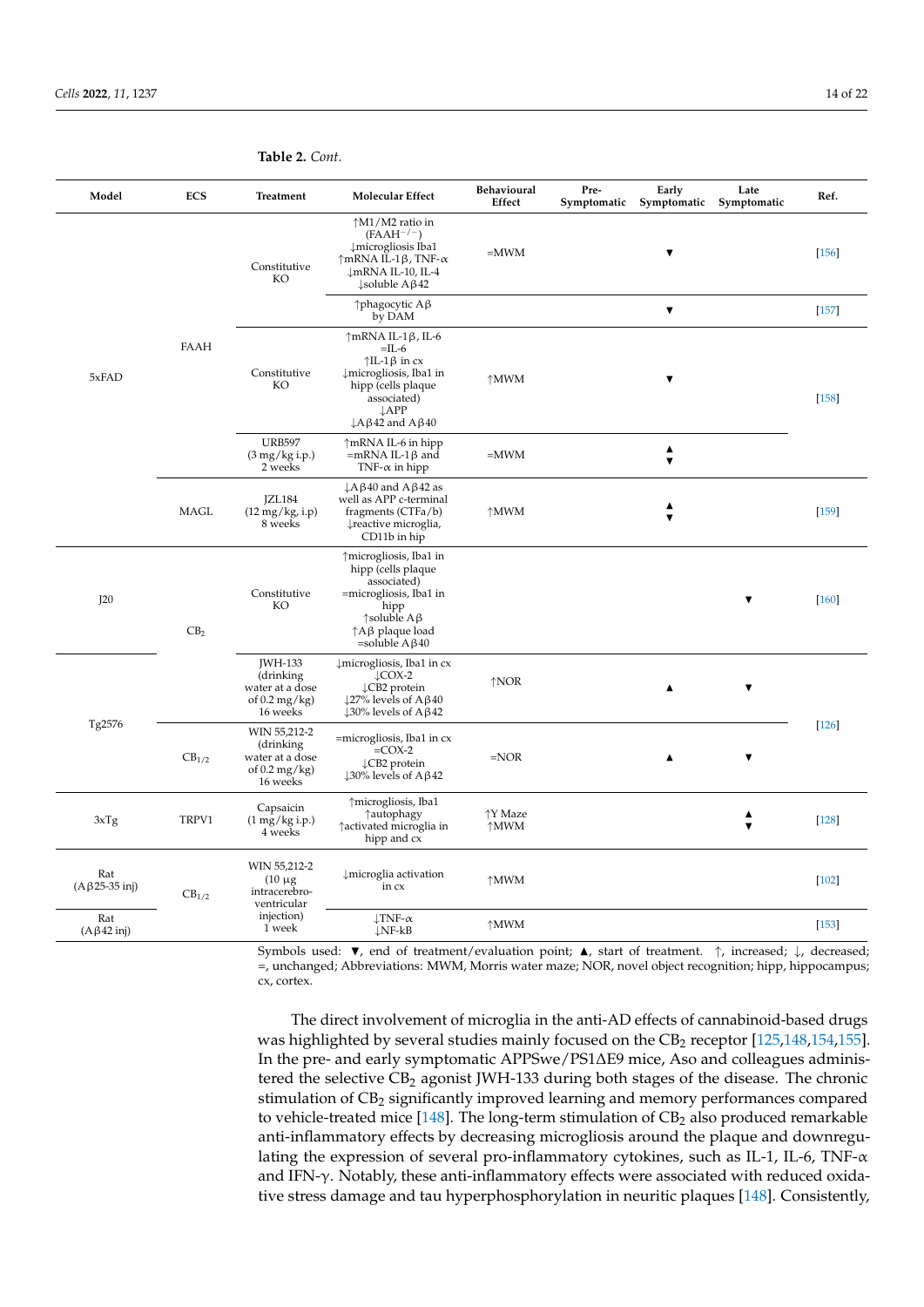| Model                               | <b>ECS</b>        | Treatment                                                                            | <b>Molecular Effect</b>                                                                                                                                                                                                   | Behavioural<br>Effect               | Pre-<br>Early<br>Late<br>Symptomatic<br>Symptomatic<br>Symptomatic | Ref.    |
|-------------------------------------|-------------------|--------------------------------------------------------------------------------------|---------------------------------------------------------------------------------------------------------------------------------------------------------------------------------------------------------------------------|-------------------------------------|--------------------------------------------------------------------|---------|
|                                     | <b>FAAH</b>       | Constitutive<br>KO                                                                   | ↑M1/M2 ratio in<br>$(FAAH^{-/-})$<br>Imicrogliosis Iba1<br>$\uparrow$ mRNA IL-1 $\upbeta$ , TNF- $\alpha$<br>↓mRNA IL-10, IL-4<br>$\downarrow$ soluble A $\upbeta$ 42                                                     | $=$ MWM                             | $\blacktriangledown$                                               | $[156]$ |
|                                     |                   |                                                                                      | $\uparrow$ phagocytic A $\upbeta$<br>by DAM                                                                                                                                                                               |                                     | $\blacktriangledown$                                               | $[157]$ |
| 5xFAD                               |                   | Constitutive<br>KO                                                                   | $\uparrow$ mRNA IL-1 $\upbeta$ , IL-6<br>$=$ IL-6<br>$\uparrow$ IL-1 $\upbeta$ in cx<br>↓microgliosis, Iba1 in<br>hipp (cells plaque<br>associated)<br>$\downarrow$ APP<br>$\downarrow$ A $\upbeta$ 42 and A $\upbeta$ 40 | $\uparrow$ MWM                      | ▼                                                                  | $[158]$ |
|                                     |                   | <b>URB597</b><br>$(3 \text{ mg/kg i.p.})$<br>2 weeks                                 | ↑mRNA IL-6 in hipp<br>$=mRNA IL-1\beta$ and<br>TNF- $\alpha$ in hipp                                                                                                                                                      | $=$ MWM                             | ▲<br>$\overline{\mathbf{v}}$                                       |         |
|                                     | MAGL              | JZL184<br>$(12 \text{ mg/kg}, i.p)$<br>8 weeks                                       | $\downarrow$ A $\upbeta$ 40 and A $\upbeta$ 42 as<br>well as APP c-terminal<br>fragments (CTFa/b)<br>↓ reactive microglia,<br>CD11b in hip                                                                                | $\uparrow$ MWM                      | ▲<br>$\overline{\mathbf{v}}$                                       | $[159]$ |
| J20                                 | CB <sub>2</sub>   | Constitutive<br>KO                                                                   | ↑microgliosis, Iba1 in<br>hipp (cells plaque<br>associated)<br>=microgliosis, Iba1 in<br>hipp<br>$\uparrow$ soluble A $\upbeta$<br>$\uparrow$ A $\upbeta$ plaque load<br>=soluble $A\beta$ 40                             |                                     | ▼                                                                  | $[160]$ |
|                                     |                   | <b>JWH-133</b><br>(drinking<br>water at a dose<br>of $0.2 \text{ mg/kg}$<br>16 weeks | $\downarrow$ microgliosis, Iba1 in cx<br>$\downarrow$ COX-2<br>↓CB2 protein<br>$\downarrow$ 27% levels of A $\upbeta$ 40<br>$\downarrow$ 30% levels of A $\beta$ 42                                                       | $\uparrow$ NOR                      | ▼                                                                  |         |
| Tg2576                              | CB <sub>1/2</sub> | WIN 55,212-2<br>(drinking<br>water at a dose<br>of $0.2 \text{ mg/kg}$<br>16 weeks   | $=$ microgliosis, Iba1 in $cx$<br>$=COX-2$<br>↓CB2 protein<br>$\downarrow$ 30% levels of A $\upbeta$ 42                                                                                                                   | $=$ NOR                             | $\blacktriangledown$<br>$\blacktriangle$                           | $[126]$ |
| 3xTg                                | TRPV1             | Capsaicin<br>$(1 \text{ mg/kg i.p.})$<br>4 weeks                                     | ↑microgliosis, Iba1<br>↑autophagy<br>↑ activated microglia in<br>hipp and cx                                                                                                                                              | $\uparrow$ Y Maze<br>$\uparrow$ MWM | $\overline{\mathbf{v}}$                                            | $[128]$ |
| Rat<br>$(A\beta 25-35 \text{ inj})$ | CB <sub>1/2</sub> | WIN 55,212-2<br>$(10 \mu g)$<br>intracerebro-<br>ventricular                         | ↓ microglia activation<br>in cx                                                                                                                                                                                           | $\uparrow$ MWM                      |                                                                    | $[102]$ |
| Rat<br>$(A\beta 42 \text{ inj})$    |                   | injection)<br>1 week                                                                 | $\downarrow$ TNF- $\alpha$<br>$\downarrow$ NF-kB                                                                                                                                                                          | $\uparrow$ MWM                      |                                                                    | [153]   |

<span id="page-13-0"></span>**Table 2.** *Cont.*

Symbols used:  $\blacktriangledown$ , end of treatment/evaluation point;  $\blacktriangle$ , start of treatment. ↑, increased; ↓, decreased; =, unchanged; Abbreviations: MWM, Morris water maze; NOR, novel object recognition; hipp, hippocampus; cx, cortex.

The direct involvement of microglia in the anti-AD effects of cannabinoid-based drugs was highlighted by several studies mainly focused on the  $CB_2$  receptor [\[125,](#page-20-6)[148,](#page-21-5)[154,](#page-21-11)[155\]](#page-21-12). In the pre- and early symptomatic APPSwe/PS1∆E9 mice, Aso and colleagues administered the selective CB<sub>2</sub> agonist JWH-133 during both stages of the disease. The chronic stimulation of CB<sub>2</sub> significantly improved learning and memory performances compared to vehicle-treated mice  $[148]$ . The long-term stimulation of  $CB<sub>2</sub>$  also produced remarkable anti-inflammatory effects by decreasing microgliosis around the plaque and downregulating the expression of several pro-inflammatory cytokines, such as IL-1, IL-6, TNF- $\alpha$ and IFN- $\gamma$ . Notably, these anti-inflammatory effects were associated with reduced oxidative stress damage and tau hyperphosphorylation in neuritic plaques [\[148\]](#page-21-5). Consistently,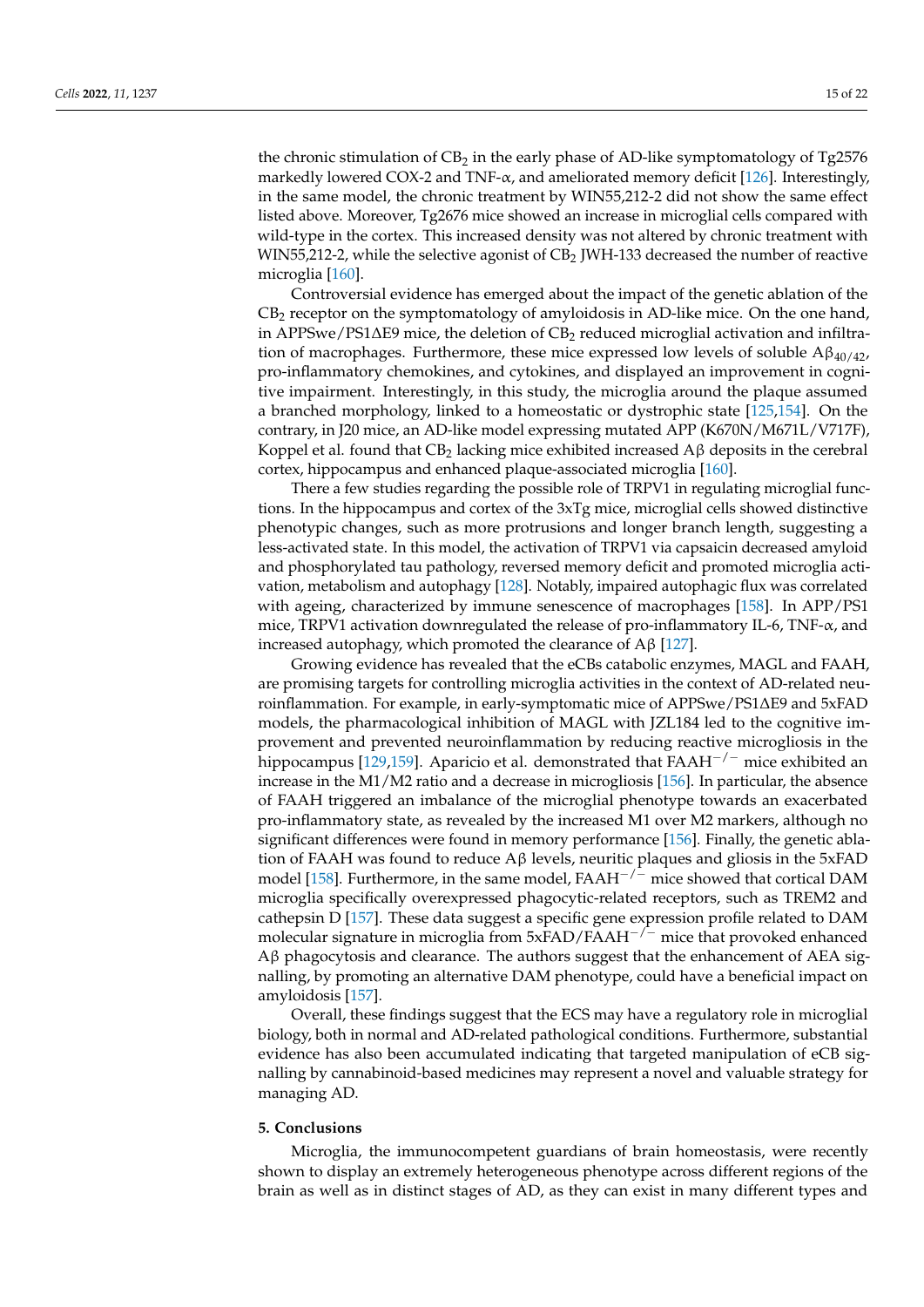the chronic stimulation of  $CB_2$  in the early phase of AD-like symptomatology of Tg2576 markedly lowered COX-2 and TNF-α, and ameliorated memory deficit [\[126\]](#page-20-7). Interestingly, in the same model, the chronic treatment by WIN55,212-2 did not show the same effect listed above. Moreover, Tg2676 mice showed an increase in microglial cells compared with wild-type in the cortex. This increased density was not altered by chronic treatment with WIN55,212-2, while the selective agonist of  $CB_2$  JWH-133 decreased the number of reactive microglia [\[160\]](#page-21-17).

Controversial evidence has emerged about the impact of the genetic ablation of the CB<sup>2</sup> receptor on the symptomatology of amyloidosis in AD-like mice. On the one hand, in APPSwe/PS1 $\Delta$ E9 mice, the deletion of CB<sub>2</sub> reduced microglial activation and infiltration of macrophages. Furthermore, these mice expressed low levels of soluble  $A\beta_{40/42}$ , pro-inflammatory chemokines, and cytokines, and displayed an improvement in cognitive impairment. Interestingly, in this study, the microglia around the plaque assumed a branched morphology, linked to a homeostatic or dystrophic state [\[125](#page-20-6)[,154\]](#page-21-11). On the contrary, in J20 mice, an AD-like model expressing mutated APP (K670N/M671L/V717F), Koppel et al. found that  $CB_2$  lacking mice exhibited increased  $A\beta$  deposits in the cerebral cortex, hippocampus and enhanced plaque-associated microglia [\[160\]](#page-21-17).

There a few studies regarding the possible role of TRPV1 in regulating microglial functions. In the hippocampus and cortex of the 3xTg mice, microglial cells showed distinctive phenotypic changes, such as more protrusions and longer branch length, suggesting a less-activated state. In this model, the activation of TRPV1 via capsaicin decreased amyloid and phosphorylated tau pathology, reversed memory deficit and promoted microglia activation, metabolism and autophagy [\[128\]](#page-20-9). Notably, impaired autophagic flux was correlated with ageing, characterized by immune senescence of macrophages [\[158\]](#page-21-15). In APP/PS1 mice, TRPV1 activation downregulated the release of pro-inflammatory IL-6, TNF- $\alpha$ , and increased autophagy, which promoted the clearance of Aβ [\[127\]](#page-20-8).

Growing evidence has revealed that the eCBs catabolic enzymes, MAGL and FAAH, are promising targets for controlling microglia activities in the context of AD-related neuroinflammation. For example, in early-symptomatic mice of APPSwe/PS1∆E9 and 5xFAD models, the pharmacological inhibition of MAGL with JZL184 led to the cognitive improvement and prevented neuroinflammation by reducing reactive microgliosis in the hippocampus [\[129](#page-20-10)[,159\]](#page-21-16). Aparicio et al. demonstrated that FAAH<sup> $-/-$ </sup> mice exhibited an increase in the M1/M2 ratio and a decrease in microgliosis [\[156\]](#page-21-13). In particular, the absence of FAAH triggered an imbalance of the microglial phenotype towards an exacerbated pro-inflammatory state, as revealed by the increased M1 over M2 markers, although no significant differences were found in memory performance [\[156\]](#page-21-13). Finally, the genetic ablation of FAAH was found to reduce  $A\beta$  levels, neuritic plaques and gliosis in the 5xFAD model [\[158\]](#page-21-15). Furthermore, in the same model,  $FAAH^{-/-}$  mice showed that cortical DAM microglia specifically overexpressed phagocytic-related receptors, such as TREM2 and cathepsin D [\[157\]](#page-21-14). These data suggest a specific gene expression profile related to DAM molecular signature in microglia from 5xFAD/FAAH−/<sup>−</sup> mice that provoked enhanced  $A\beta$  phagocytosis and clearance. The authors suggest that the enhancement of AEA signalling, by promoting an alternative DAM phenotype, could have a beneficial impact on amyloidosis [\[157\]](#page-21-14).

Overall, these findings suggest that the ECS may have a regulatory role in microglial biology, both in normal and AD-related pathological conditions. Furthermore, substantial evidence has also been accumulated indicating that targeted manipulation of eCB signalling by cannabinoid-based medicines may represent a novel and valuable strategy for managing AD.

## **5. Conclusions**

Microglia, the immunocompetent guardians of brain homeostasis, were recently shown to display an extremely heterogeneous phenotype across different regions of the brain as well as in distinct stages of AD, as they can exist in many different types and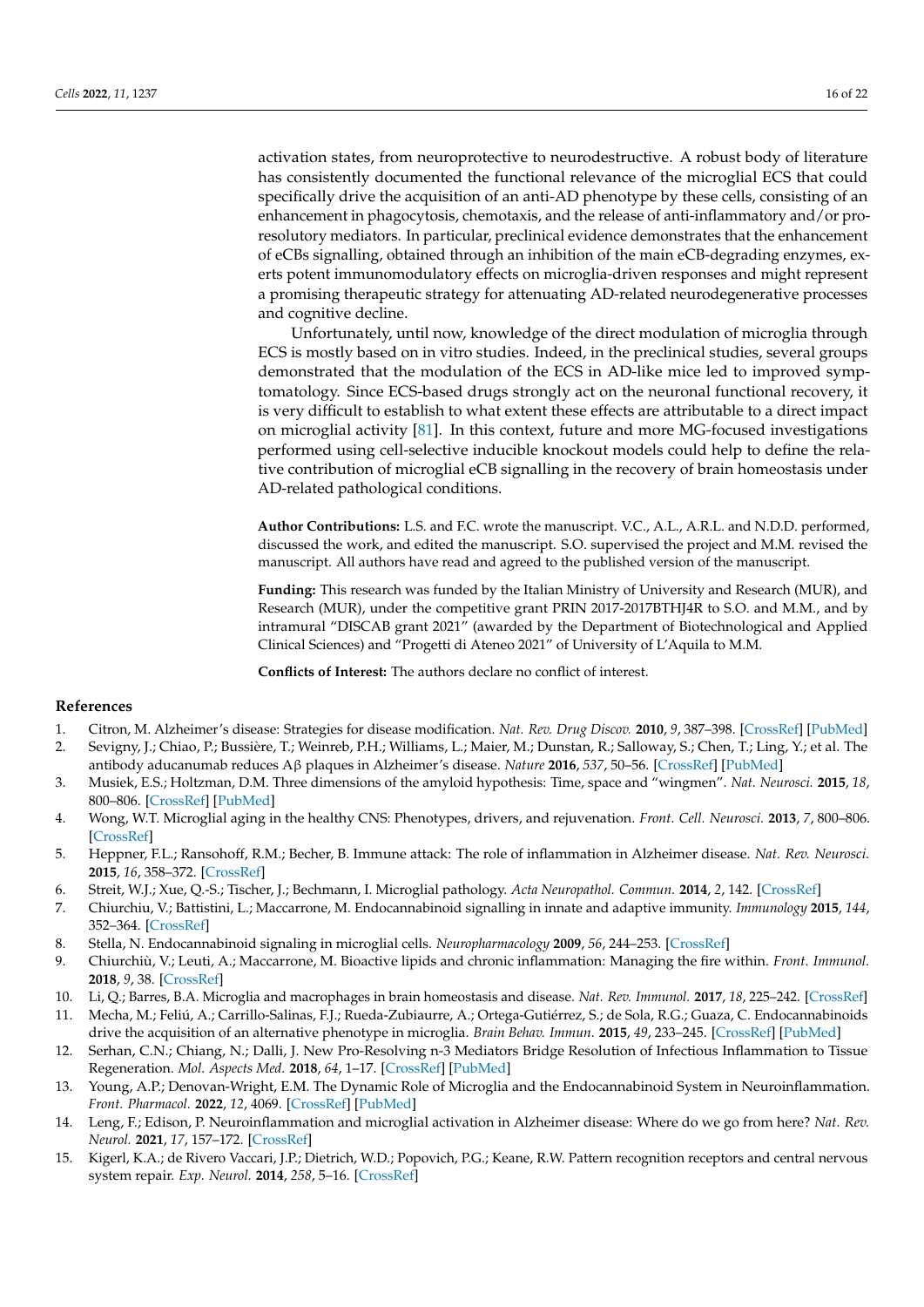activation states, from neuroprotective to neurodestructive. A robust body of literature has consistently documented the functional relevance of the microglial ECS that could specifically drive the acquisition of an anti-AD phenotype by these cells, consisting of an enhancement in phagocytosis, chemotaxis, and the release of anti-inflammatory and/or proresolutory mediators. In particular, preclinical evidence demonstrates that the enhancement of eCBs signalling, obtained through an inhibition of the main eCB-degrading enzymes, exerts potent immunomodulatory effects on microglia-driven responses and might represent a promising therapeutic strategy for attenuating AD-related neurodegenerative processes and cognitive decline.

Unfortunately, until now, knowledge of the direct modulation of microglia through ECS is mostly based on in vitro studies. Indeed, in the preclinical studies, several groups demonstrated that the modulation of the ECS in AD-like mice led to improved symptomatology. Since ECS-based drugs strongly act on the neuronal functional recovery, it is very difficult to establish to what extent these effects are attributable to a direct impact on microglial activity [\[81\]](#page-18-10). In this context, future and more MG-focused investigations performed using cell-selective inducible knockout models could help to define the relative contribution of microglial eCB signalling in the recovery of brain homeostasis under AD-related pathological conditions.

**Author Contributions:** L.S. and F.C. wrote the manuscript. V.C., A.L., A.R.L. and N.D.D. performed, discussed the work, and edited the manuscript. S.O. supervised the project and M.M. revised the manuscript. All authors have read and agreed to the published version of the manuscript.

**Funding:** This research was funded by the Italian Ministry of University and Research (MUR), and Research (MUR), under the competitive grant PRIN 2017-2017BTHJ4R to S.O. and M.M., and by intramural "DISCAB grant 2021" (awarded by the Department of Biotechnological and Applied Clinical Sciences) and "Progetti di Ateneo 2021" of University of L'Aquila to M.M.

**Conflicts of Interest:** The authors declare no conflict of interest.

# **References**

- <span id="page-15-1"></span><span id="page-15-0"></span>1. Citron, M. Alzheimer's disease: Strategies for disease modification. *Nat. Rev. Drug Discov.* **2010**, *9*, 387–398. [\[CrossRef\]](http://doi.org/10.1038/nrd2896) [\[PubMed\]](http://www.ncbi.nlm.nih.gov/pubmed/20431570) 2. Sevigny, J.; Chiao, P.; Bussière, T.; Weinreb, P.H.; Williams, L.; Maier, M.; Dunstan, R.; Salloway, S.; Chen, T.; Ling, Y.; et al. The
- antibody aducanumab reduces Aβ plaques in Alzheimer's disease. *Nature* **2016**, *537*, 50–56. [\[CrossRef\]](http://doi.org/10.1038/nature19323) [\[PubMed\]](http://www.ncbi.nlm.nih.gov/pubmed/27582220)
- <span id="page-15-2"></span>3. Musiek, E.S.; Holtzman, D.M. Three dimensions of the amyloid hypothesis: Time, space and "wingmen". *Nat. Neurosci.* **2015**, *18*, 800–806. [\[CrossRef\]](http://doi.org/10.1038/nn.4018) [\[PubMed\]](http://www.ncbi.nlm.nih.gov/pubmed/26007213)
- <span id="page-15-3"></span>4. Wong, W.T. Microglial aging in the healthy CNS: Phenotypes, drivers, and rejuvenation. *Front. Cell. Neurosci.* **2013**, *7*, 800–806. [\[CrossRef\]](http://doi.org/10.3389/fncel.2013.00022)
- <span id="page-15-4"></span>5. Heppner, F.L.; Ransohoff, R.M.; Becher, B. Immune attack: The role of inflammation in Alzheimer disease. *Nat. Rev. Neurosci.* **2015**, *16*, 358–372. [\[CrossRef\]](http://doi.org/10.1038/nrn3880)
- <span id="page-15-5"></span>6. Streit, W.J.; Xue, Q.-S.; Tischer, J.; Bechmann, I. Microglial pathology. *Acta Neuropathol. Commun.* **2014**, *2*, 142. [\[CrossRef\]](http://doi.org/10.1186/s40478-014-0142-6)
- <span id="page-15-6"></span>7. Chiurchiu, V.; Battistini, L.; Maccarrone, M. Endocannabinoid signalling in innate and adaptive immunity. *Immunology* **2015**, *144*, 352–364. [\[CrossRef\]](http://doi.org/10.1111/imm.12441)
- <span id="page-15-7"></span>8. Stella, N. Endocannabinoid signaling in microglial cells. *Neuropharmacology* **2009**, *56*, 244–253. [\[CrossRef\]](http://doi.org/10.1016/j.neuropharm.2008.07.037)
- <span id="page-15-8"></span>9. Chiurchiù, V.; Leuti, A.; Maccarrone, M. Bioactive lipids and chronic inflammation: Managing the fire within. *Front. Immunol.* **2018**, *9*, 38. [\[CrossRef\]](http://doi.org/10.3389/fimmu.2018.00038)
- <span id="page-15-9"></span>10. Li, Q.; Barres, B.A. Microglia and macrophages in brain homeostasis and disease. *Nat. Rev. Immunol.* **2017**, *18*, 225–242. [\[CrossRef\]](http://doi.org/10.1038/nri.2017.125)
- <span id="page-15-10"></span>11. Mecha, M.; Feliú, A.; Carrillo-Salinas, F.J.; Rueda-Zubiaurre, A.; Ortega-Gutiérrez, S.; de Sola, R.G.; Guaza, C. Endocannabinoids drive the acquisition of an alternative phenotype in microglia. *Brain Behav. Immun.* **2015**, *49*, 233–245. [\[CrossRef\]](http://doi.org/10.1016/j.bbi.2015.06.002) [\[PubMed\]](http://www.ncbi.nlm.nih.gov/pubmed/26086345)
- <span id="page-15-11"></span>12. Serhan, C.N.; Chiang, N.; Dalli, J. New Pro-Resolving n-3 Mediators Bridge Resolution of Infectious Inflammation to Tissue Regeneration. *Mol. Aspects Med.* **2018**, *64*, 1–17. [\[CrossRef\]](http://doi.org/10.1016/j.mam.2017.08.002) [\[PubMed\]](http://www.ncbi.nlm.nih.gov/pubmed/28802833)
- 13. Young, A.P.; Denovan-Wright, E.M. The Dynamic Role of Microglia and the Endocannabinoid System in Neuroinflammation. *Front. Pharmacol.* **2022**, *12*, 4069. [\[CrossRef\]](http://doi.org/10.3389/fphar.2021.806417) [\[PubMed\]](http://www.ncbi.nlm.nih.gov/pubmed/35185547)
- <span id="page-15-12"></span>14. Leng, F.; Edison, P. Neuroinflammation and microglial activation in Alzheimer disease: Where do we go from here? *Nat. Rev. Neurol.* **2021**, *17*, 157–172. [\[CrossRef\]](http://doi.org/10.1038/s41582-020-00435-y)
- <span id="page-15-13"></span>15. Kigerl, K.A.; de Rivero Vaccari, J.P.; Dietrich, W.D.; Popovich, P.G.; Keane, R.W. Pattern recognition receptors and central nervous system repair. *Exp. Neurol.* **2014**, *258*, 5–16. [\[CrossRef\]](http://doi.org/10.1016/j.expneurol.2014.01.001)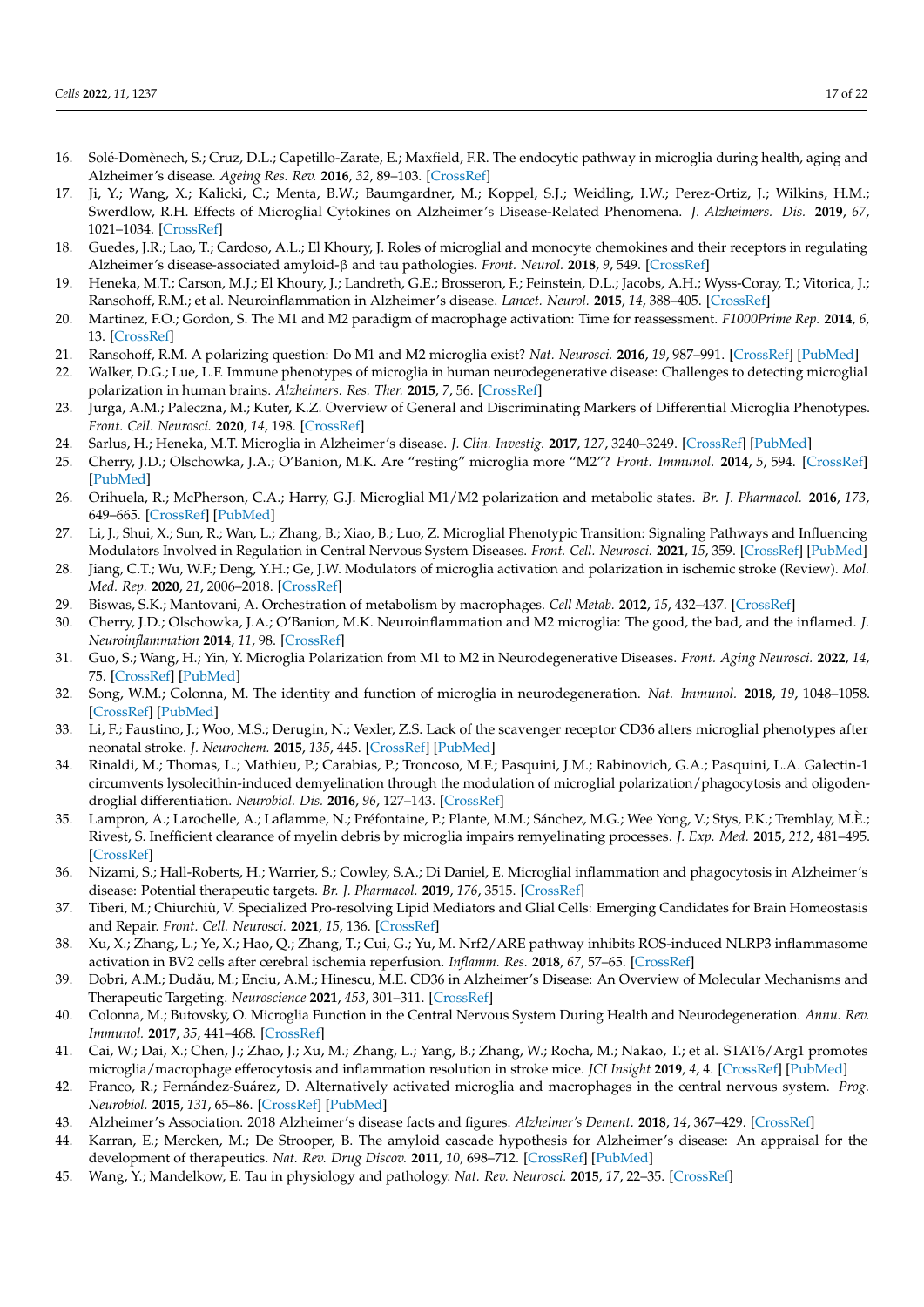- <span id="page-16-0"></span>16. Solé-Domènech, S.; Cruz, D.L.; Capetillo-Zarate, E.; Maxfield, F.R. The endocytic pathway in microglia during health, aging and Alzheimer's disease. *Ageing Res. Rev.* **2016**, *32*, 89–103. [\[CrossRef\]](http://doi.org/10.1016/j.arr.2016.07.002)
- <span id="page-16-1"></span>17. Ji, Y.; Wang, X.; Kalicki, C.; Menta, B.W.; Baumgardner, M.; Koppel, S.J.; Weidling, I.W.; Perez-Ortiz, J.; Wilkins, H.M.; Swerdlow, R.H. Effects of Microglial Cytokines on Alzheimer's Disease-Related Phenomena. *J. Alzheimers. Dis.* **2019**, *67*, 1021–1034. [\[CrossRef\]](http://doi.org/10.3233/JAD-180820)
- <span id="page-16-2"></span>18. Guedes, J.R.; Lao, T.; Cardoso, A.L.; El Khoury, J. Roles of microglial and monocyte chemokines and their receptors in regulating Alzheimer's disease-associated amyloid-β and tau pathologies. *Front. Neurol.* **2018**, *9*, 549. [\[CrossRef\]](http://doi.org/10.3389/fneur.2018.00549)
- <span id="page-16-3"></span>19. Heneka, M.T.; Carson, M.J.; El Khoury, J.; Landreth, G.E.; Brosseron, F.; Feinstein, D.L.; Jacobs, A.H.; Wyss-Coray, T.; Vitorica, J.; Ransohoff, R.M.; et al. Neuroinflammation in Alzheimer's disease. *Lancet. Neurol.* **2015**, *14*, 388–405. [\[CrossRef\]](http://doi.org/10.1016/S1474-4422(15)70016-5)
- <span id="page-16-4"></span>20. Martinez, F.O.; Gordon, S. The M1 and M2 paradigm of macrophage activation: Time for reassessment. *F1000Prime Rep.* **2014**, *6*, 13. [\[CrossRef\]](http://doi.org/10.12703/P6-13)
- <span id="page-16-5"></span>21. Ransohoff, R.M. A polarizing question: Do M1 and M2 microglia exist? *Nat. Neurosci.* **2016**, *19*, 987–991. [\[CrossRef\]](http://doi.org/10.1038/nn.4338) [\[PubMed\]](http://www.ncbi.nlm.nih.gov/pubmed/27459405)
- <span id="page-16-6"></span>22. Walker, D.G.; Lue, L.F. Immune phenotypes of microglia in human neurodegenerative disease: Challenges to detecting microglial polarization in human brains. *Alzheimers. Res. Ther.* **2015**, *7*, 56. [\[CrossRef\]](http://doi.org/10.1186/s13195-015-0139-9)
- <span id="page-16-7"></span>23. Jurga, A.M.; Paleczna, M.; Kuter, K.Z. Overview of General and Discriminating Markers of Differential Microglia Phenotypes. *Front. Cell. Neurosci.* **2020**, *14*, 198. [\[CrossRef\]](http://doi.org/10.3389/fncel.2020.00198)
- <span id="page-16-8"></span>24. Sarlus, H.; Heneka, M.T. Microglia in Alzheimer's disease. *J. Clin. Investig.* **2017**, *127*, 3240–3249. [\[CrossRef\]](http://doi.org/10.1172/JCI90606) [\[PubMed\]](http://www.ncbi.nlm.nih.gov/pubmed/28862638)
- <span id="page-16-9"></span>25. Cherry, J.D.; Olschowka, J.A.; O'Banion, M.K. Are "resting" microglia more "M2"? *Front. Immunol.* **2014**, *5*, 594. [\[CrossRef\]](http://doi.org/10.3389/fimmu.2014.00594) [\[PubMed\]](http://www.ncbi.nlm.nih.gov/pubmed/25477883)
- <span id="page-16-10"></span>26. Orihuela, R.; McPherson, C.A.; Harry, G.J. Microglial M1/M2 polarization and metabolic states. *Br. J. Pharmacol.* **2016**, *173*, 649–665. [\[CrossRef\]](http://doi.org/10.1111/bph.13139) [\[PubMed\]](http://www.ncbi.nlm.nih.gov/pubmed/25800044)
- <span id="page-16-11"></span>27. Li, J.; Shui, X.; Sun, R.; Wan, L.; Zhang, B.; Xiao, B.; Luo, Z. Microglial Phenotypic Transition: Signaling Pathways and Influencing Modulators Involved in Regulation in Central Nervous System Diseases. *Front. Cell. Neurosci.* **2021**, *15*, 359. [\[CrossRef\]](http://doi.org/10.3389/fncel.2021.736310) [\[PubMed\]](http://www.ncbi.nlm.nih.gov/pubmed/34594188)
- <span id="page-16-12"></span>28. Jiang, C.T.; Wu, W.F.; Deng, Y.H.; Ge, J.W. Modulators of microglia activation and polarization in ischemic stroke (Review). *Mol. Med. Rep.* **2020**, *21*, 2006–2018. [\[CrossRef\]](http://doi.org/10.3892/mmr.2020.11003)
- <span id="page-16-13"></span>29. Biswas, S.K.; Mantovani, A. Orchestration of metabolism by macrophages. *Cell Metab.* **2012**, *15*, 432–437. [\[CrossRef\]](http://doi.org/10.1016/j.cmet.2011.11.013)
- <span id="page-16-14"></span>30. Cherry, J.D.; Olschowka, J.A.; O'Banion, M.K. Neuroinflammation and M2 microglia: The good, the bad, and the inflamed. *J. Neuroinflammation* **2014**, *11*, 98. [\[CrossRef\]](http://doi.org/10.1186/1742-2094-11-98)
- <span id="page-16-15"></span>31. Guo, S.; Wang, H.; Yin, Y. Microglia Polarization from M1 to M2 in Neurodegenerative Diseases. *Front. Aging Neurosci.* **2022**, *14*, 75. [\[CrossRef\]](http://doi.org/10.3389/fnagi.2022.815347) [\[PubMed\]](http://www.ncbi.nlm.nih.gov/pubmed/35250543)
- <span id="page-16-16"></span>32. Song, W.M.; Colonna, M. The identity and function of microglia in neurodegeneration. *Nat. Immunol.* **2018**, *19*, 1048–1058. [\[CrossRef\]](http://doi.org/10.1038/s41590-018-0212-1) [\[PubMed\]](http://www.ncbi.nlm.nih.gov/pubmed/30250185)
- <span id="page-16-17"></span>33. Li, F.; Faustino, J.; Woo, M.S.; Derugin, N.; Vexler, Z.S. Lack of the scavenger receptor CD36 alters microglial phenotypes after neonatal stroke. *J. Neurochem.* **2015**, *135*, 445. [\[CrossRef\]](http://doi.org/10.1111/jnc.13239) [\[PubMed\]](http://www.ncbi.nlm.nih.gov/pubmed/26223273)
- 34. Rinaldi, M.; Thomas, L.; Mathieu, P.; Carabias, P.; Troncoso, M.F.; Pasquini, J.M.; Rabinovich, G.A.; Pasquini, L.A. Galectin-1 circumvents lysolecithin-induced demyelination through the modulation of microglial polarization/phagocytosis and oligodendroglial differentiation. *Neurobiol. Dis.* **2016**, *96*, 127–143. [\[CrossRef\]](http://doi.org/10.1016/j.nbd.2016.09.003)
- 35. Lampron, A.; Larochelle, A.; Laflamme, N.; Préfontaine, P.; Plante, M.M.; Sánchez, M.G.; Wee Yong, V.; Stys, P.K.; Tremblay, M.È.; Rivest, S. Inefficient clearance of myelin debris by microglia impairs remyelinating processes. *J. Exp. Med.* **2015**, *212*, 481–495. [\[CrossRef\]](http://doi.org/10.1084/jem.20141656)
- <span id="page-16-18"></span>36. Nizami, S.; Hall-Roberts, H.; Warrier, S.; Cowley, S.A.; Di Daniel, E. Microglial inflammation and phagocytosis in Alzheimer's disease: Potential therapeutic targets. *Br. J. Pharmacol.* **2019**, *176*, 3515. [\[CrossRef\]](http://doi.org/10.1111/bph.14618)
- <span id="page-16-19"></span>37. Tiberi, M.; Chiurchiù, V. Specialized Pro-resolving Lipid Mediators and Glial Cells: Emerging Candidates for Brain Homeostasis and Repair. *Front. Cell. Neurosci.* **2021**, *15*, 136. [\[CrossRef\]](http://doi.org/10.3389/fncel.2021.673549)
- <span id="page-16-20"></span>38. Xu, X.; Zhang, L.; Ye, X.; Hao, Q.; Zhang, T.; Cui, G.; Yu, M. Nrf2/ARE pathway inhibits ROS-induced NLRP3 inflammasome activation in BV2 cells after cerebral ischemia reperfusion. *Inflamm. Res.* **2018**, *67*, 57–65. [\[CrossRef\]](http://doi.org/10.1007/s00011-017-1095-6)
- <span id="page-16-21"></span>39. Dobri, A.M.; Dudău, M.; Enciu, A.M.; Hinescu, M.E. CD36 in Alzheimer's Disease: An Overview of Molecular Mechanisms and Therapeutic Targeting. *Neuroscience* **2021**, *453*, 301–311. [\[CrossRef\]](http://doi.org/10.1016/j.neuroscience.2020.11.003)
- <span id="page-16-22"></span>40. Colonna, M.; Butovsky, O. Microglia Function in the Central Nervous System During Health and Neurodegeneration. *Annu. Rev. Immunol.* **2017**, *35*, 441–468. [\[CrossRef\]](http://doi.org/10.1146/annurev-immunol-051116-052358)
- <span id="page-16-23"></span>41. Cai, W.; Dai, X.; Chen, J.; Zhao, J.; Xu, M.; Zhang, L.; Yang, B.; Zhang, W.; Rocha, M.; Nakao, T.; et al. STAT6/Arg1 promotes microglia/macrophage efferocytosis and inflammation resolution in stroke mice. *JCI Insight* **2019**, *4*, 4. [\[CrossRef\]](http://doi.org/10.1172/jci.insight.131355) [\[PubMed\]](http://www.ncbi.nlm.nih.gov/pubmed/31619589)
- <span id="page-16-24"></span>42. Franco, R.; Fernández-Suárez, D. Alternatively activated microglia and macrophages in the central nervous system. *Prog. Neurobiol.* **2015**, *131*, 65–86. [\[CrossRef\]](http://doi.org/10.1016/j.pneurobio.2015.05.003) [\[PubMed\]](http://www.ncbi.nlm.nih.gov/pubmed/26067058)
- <span id="page-16-26"></span><span id="page-16-25"></span>43. Alzheimer's Association. 2018 Alzheimer's disease facts and figures. *Alzheimer's Dement.* **2018**, *14*, 367–429. [\[CrossRef\]](http://doi.org/10.1016/j.jalz.2018.02.001)
- 44. Karran, E.; Mercken, M.; De Strooper, B. The amyloid cascade hypothesis for Alzheimer's disease: An appraisal for the development of therapeutics. *Nat. Rev. Drug Discov.* **2011**, *10*, 698–712. [\[CrossRef\]](http://doi.org/10.1038/nrd3505) [\[PubMed\]](http://www.ncbi.nlm.nih.gov/pubmed/21852788)
- <span id="page-16-27"></span>45. Wang, Y.; Mandelkow, E. Tau in physiology and pathology. *Nat. Rev. Neurosci.* **2015**, *17*, 22–35. [\[CrossRef\]](http://doi.org/10.1038/nrn.2015.1)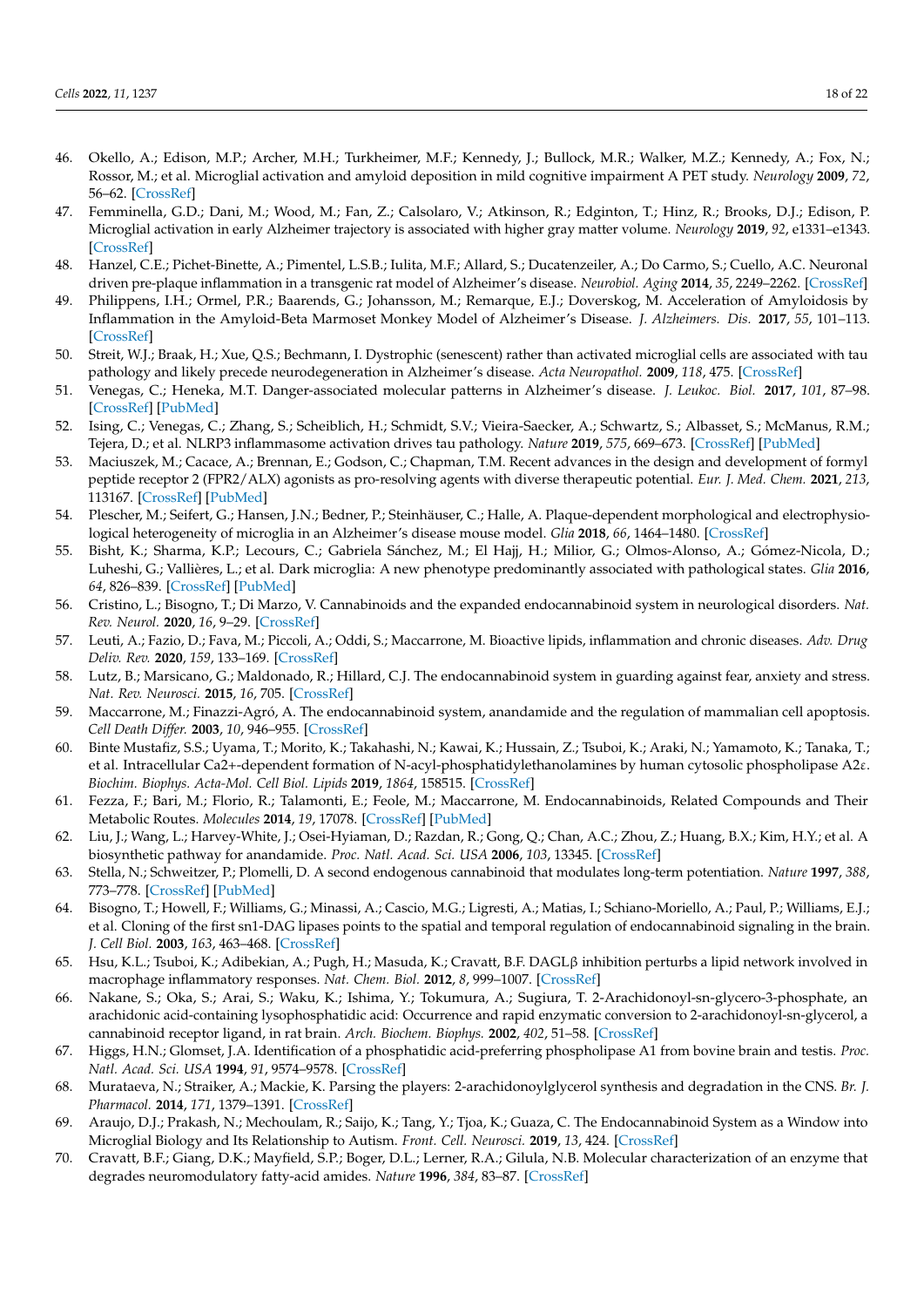- <span id="page-17-0"></span>46. Okello, A.; Edison, M.P.; Archer, M.H.; Turkheimer, M.F.; Kennedy, J.; Bullock, M.R.; Walker, M.Z.; Kennedy, A.; Fox, N.; Rossor, M.; et al. Microglial activation and amyloid deposition in mild cognitive impairment A PET study. *Neurology* **2009**, *72*, 56–62. [\[CrossRef\]](http://doi.org/10.1212/01.wnl.0000338622.27876.0d)
- 47. Femminella, G.D.; Dani, M.; Wood, M.; Fan, Z.; Calsolaro, V.; Atkinson, R.; Edginton, T.; Hinz, R.; Brooks, D.J.; Edison, P. Microglial activation in early Alzheimer trajectory is associated with higher gray matter volume. *Neurology* **2019**, *92*, e1331–e1343. [\[CrossRef\]](http://doi.org/10.1212/WNL.0000000000007133)
- <span id="page-17-1"></span>48. Hanzel, C.E.; Pichet-Binette, A.; Pimentel, L.S.B.; Iulita, M.F.; Allard, S.; Ducatenzeiler, A.; Do Carmo, S.; Cuello, A.C. Neuronal driven pre-plaque inflammation in a transgenic rat model of Alzheimer's disease. *Neurobiol. Aging* **2014**, *35*, 2249–2262. [\[CrossRef\]](http://doi.org/10.1016/j.neurobiolaging.2014.03.026)
- <span id="page-17-2"></span>49. Philippens, I.H.; Ormel, P.R.; Baarends, G.; Johansson, M.; Remarque, E.J.; Doverskog, M. Acceleration of Amyloidosis by Inflammation in the Amyloid-Beta Marmoset Monkey Model of Alzheimer's Disease. *J. Alzheimers. Dis.* **2017**, *55*, 101–113. [\[CrossRef\]](http://doi.org/10.3233/JAD-160673)
- <span id="page-17-3"></span>50. Streit, W.J.; Braak, H.; Xue, Q.S.; Bechmann, I. Dystrophic (senescent) rather than activated microglial cells are associated with tau pathology and likely precede neurodegeneration in Alzheimer's disease. *Acta Neuropathol.* **2009**, *118*, 475. [\[CrossRef\]](http://doi.org/10.1007/s00401-009-0556-6)
- <span id="page-17-4"></span>51. Venegas, C.; Heneka, M.T. Danger-associated molecular patterns in Alzheimer's disease. *J. Leukoc. Biol.* **2017**, *101*, 87–98. [\[CrossRef\]](http://doi.org/10.1189/jlb.3MR0416-204R) [\[PubMed\]](http://www.ncbi.nlm.nih.gov/pubmed/28049142)
- <span id="page-17-5"></span>52. Ising, C.; Venegas, C.; Zhang, S.; Scheiblich, H.; Schmidt, S.V.; Vieira-Saecker, A.; Schwartz, S.; Albasset, S.; McManus, R.M.; Tejera, D.; et al. NLRP3 inflammasome activation drives tau pathology. *Nature* **2019**, *575*, 669–673. [\[CrossRef\]](http://doi.org/10.1038/s41586-019-1769-z) [\[PubMed\]](http://www.ncbi.nlm.nih.gov/pubmed/31748742)
- <span id="page-17-6"></span>53. Maciuszek, M.; Cacace, A.; Brennan, E.; Godson, C.; Chapman, T.M. Recent advances in the design and development of formyl peptide receptor 2 (FPR2/ALX) agonists as pro-resolving agents with diverse therapeutic potential. *Eur. J. Med. Chem.* **2021**, *213*, 113167. [\[CrossRef\]](http://doi.org/10.1016/j.ejmech.2021.113167) [\[PubMed\]](http://www.ncbi.nlm.nih.gov/pubmed/33486199)
- <span id="page-17-7"></span>54. Plescher, M.; Seifert, G.; Hansen, J.N.; Bedner, P.; Steinhäuser, C.; Halle, A. Plaque-dependent morphological and electrophysiological heterogeneity of microglia in an Alzheimer's disease mouse model. *Glia* **2018**, *66*, 1464–1480. [\[CrossRef\]](http://doi.org/10.1002/glia.23318)
- <span id="page-17-8"></span>55. Bisht, K.; Sharma, K.P.; Lecours, C.; Gabriela Sánchez, M.; El Hajj, H.; Milior, G.; Olmos-Alonso, A.; Gómez-Nicola, D.; Luheshi, G.; Vallières, L.; et al. Dark microglia: A new phenotype predominantly associated with pathological states. *Glia* **2016**, *64*, 826–839. [\[CrossRef\]](http://doi.org/10.1002/glia.22966) [\[PubMed\]](http://www.ncbi.nlm.nih.gov/pubmed/26847266)
- <span id="page-17-9"></span>56. Cristino, L.; Bisogno, T.; Di Marzo, V. Cannabinoids and the expanded endocannabinoid system in neurological disorders. *Nat. Rev. Neurol.* **2020**, *16*, 9–29. [\[CrossRef\]](http://doi.org/10.1038/s41582-019-0284-z)
- <span id="page-17-10"></span>57. Leuti, A.; Fazio, D.; Fava, M.; Piccoli, A.; Oddi, S.; Maccarrone, M. Bioactive lipids, inflammation and chronic diseases. *Adv. Drug Deliv. Rev.* **2020**, *159*, 133–169. [\[CrossRef\]](http://doi.org/10.1016/j.addr.2020.06.028)
- <span id="page-17-11"></span>58. Lutz, B.; Marsicano, G.; Maldonado, R.; Hillard, C.J. The endocannabinoid system in guarding against fear, anxiety and stress. *Nat. Rev. Neurosci.* **2015**, *16*, 705. [\[CrossRef\]](http://doi.org/10.1038/nrn4036)
- <span id="page-17-12"></span>59. Maccarrone, M.; Finazzi-Agró, A. The endocannabinoid system, anandamide and the regulation of mammalian cell apoptosis. *Cell Death Differ.* **2003**, *10*, 946–955. [\[CrossRef\]](http://doi.org/10.1038/sj.cdd.4401284)
- <span id="page-17-13"></span>60. Binte Mustafiz, S.S.; Uyama, T.; Morito, K.; Takahashi, N.; Kawai, K.; Hussain, Z.; Tsuboi, K.; Araki, N.; Yamamoto, K.; Tanaka, T.; et al. Intracellular Ca2+-dependent formation of N-acyl-phosphatidylethanolamines by human cytosolic phospholipase A2ε. *Biochim. Biophys. Acta-Mol. Cell Biol. Lipids* **2019**, *1864*, 158515. [\[CrossRef\]](http://doi.org/10.1016/j.bbalip.2019.158515)
- <span id="page-17-14"></span>61. Fezza, F.; Bari, M.; Florio, R.; Talamonti, E.; Feole, M.; Maccarrone, M. Endocannabinoids, Related Compounds and Their Metabolic Routes. *Molecules* **2014**, *19*, 17078. [\[CrossRef\]](http://doi.org/10.3390/molecules191117078) [\[PubMed\]](http://www.ncbi.nlm.nih.gov/pubmed/25347455)
- <span id="page-17-15"></span>62. Liu, J.; Wang, L.; Harvey-White, J.; Osei-Hyiaman, D.; Razdan, R.; Gong, Q.; Chan, A.C.; Zhou, Z.; Huang, B.X.; Kim, H.Y.; et al. A biosynthetic pathway for anandamide. *Proc. Natl. Acad. Sci. USA* **2006**, *103*, 13345. [\[CrossRef\]](http://doi.org/10.1073/pnas.0601832103)
- <span id="page-17-16"></span>63. Stella, N.; Schweitzer, P.; Plomelli, D. A second endogenous cannabinoid that modulates long-term potentiation. *Nature* **1997**, *388*, 773–778. [\[CrossRef\]](http://doi.org/10.1038/42015) [\[PubMed\]](http://www.ncbi.nlm.nih.gov/pubmed/9285589)
- <span id="page-17-17"></span>64. Bisogno, T.; Howell, F.; Williams, G.; Minassi, A.; Cascio, M.G.; Ligresti, A.; Matias, I.; Schiano-Moriello, A.; Paul, P.; Williams, E.J.; et al. Cloning of the first sn1-DAG lipases points to the spatial and temporal regulation of endocannabinoid signaling in the brain. *J. Cell Biol.* **2003**, *163*, 463–468. [\[CrossRef\]](http://doi.org/10.1083/jcb.200305129)
- <span id="page-17-18"></span>65. Hsu, K.L.; Tsuboi, K.; Adibekian, A.; Pugh, H.; Masuda, K.; Cravatt, B.F. DAGLβ inhibition perturbs a lipid network involved in macrophage inflammatory responses. *Nat. Chem. Biol.* **2012**, *8*, 999–1007. [\[CrossRef\]](http://doi.org/10.1038/nchembio.1105)
- <span id="page-17-19"></span>66. Nakane, S.; Oka, S.; Arai, S.; Waku, K.; Ishima, Y.; Tokumura, A.; Sugiura, T. 2-Arachidonoyl-sn-glycero-3-phosphate, an arachidonic acid-containing lysophosphatidic acid: Occurrence and rapid enzymatic conversion to 2-arachidonoyl-sn-glycerol, a cannabinoid receptor ligand, in rat brain. *Arch. Biochem. Biophys.* **2002**, *402*, 51–58. [\[CrossRef\]](http://doi.org/10.1016/S0003-9861(02)00038-3)
- <span id="page-17-20"></span>67. Higgs, H.N.; Glomset, J.A. Identification of a phosphatidic acid-preferring phospholipase A1 from bovine brain and testis. *Proc. Natl. Acad. Sci. USA* **1994**, *91*, 9574–9578. [\[CrossRef\]](http://doi.org/10.1073/pnas.91.20.9574)
- <span id="page-17-21"></span>68. Murataeva, N.; Straiker, A.; Mackie, K. Parsing the players: 2-arachidonoylglycerol synthesis and degradation in the CNS. *Br. J. Pharmacol.* **2014**, *171*, 1379–1391. [\[CrossRef\]](http://doi.org/10.1111/bph.12411)
- <span id="page-17-22"></span>69. Araujo, D.J.; Prakash, N.; Mechoulam, R.; Saijo, K.; Tang, Y.; Tjoa, K.; Guaza, C. The Endocannabinoid System as a Window into Microglial Biology and Its Relationship to Autism. *Front. Cell. Neurosci.* **2019**, *13*, 424. [\[CrossRef\]](http://doi.org/10.3389/fncel.2019.00424)
- <span id="page-17-23"></span>70. Cravatt, B.F.; Giang, D.K.; Mayfield, S.P.; Boger, D.L.; Lerner, R.A.; Gilula, N.B. Molecular characterization of an enzyme that degrades neuromodulatory fatty-acid amides. *Nature* **1996**, *384*, 83–87. [\[CrossRef\]](http://doi.org/10.1038/384083a0)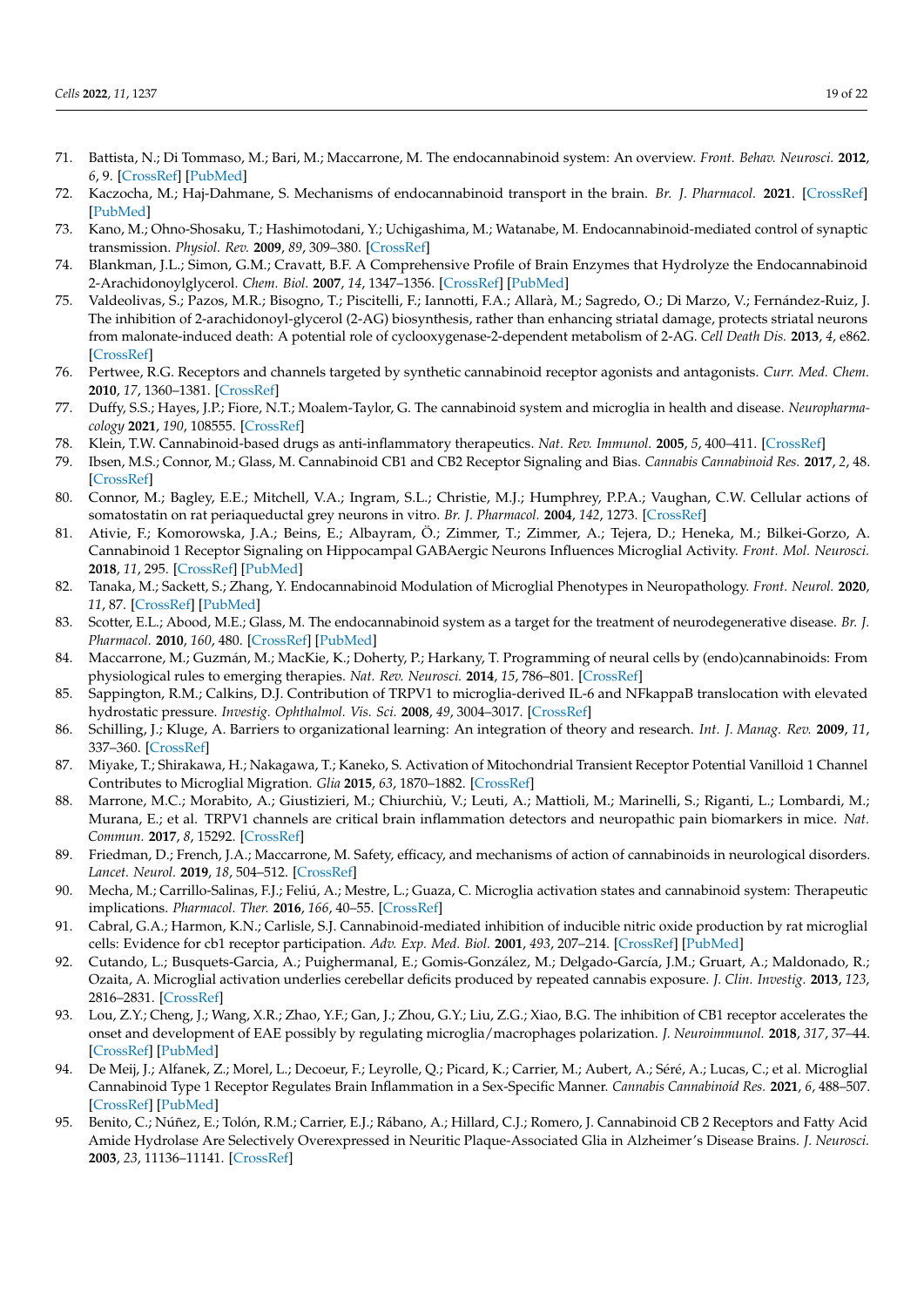- <span id="page-18-0"></span>71. Battista, N.; Di Tommaso, M.; Bari, M.; Maccarrone, M. The endocannabinoid system: An overview. *Front. Behav. Neurosci.* **2012**, *6*, 9. [\[CrossRef\]](http://doi.org/10.3389/fnbeh.2012.00009) [\[PubMed\]](http://www.ncbi.nlm.nih.gov/pubmed/22457644)
- <span id="page-18-1"></span>72. Kaczocha, M.; Haj-Dahmane, S. Mechanisms of endocannabinoid transport in the brain. *Br. J. Pharmacol.* **2021**. [\[CrossRef\]](http://doi.org/10.1111/bph.15469) [\[PubMed\]](http://www.ncbi.nlm.nih.gov/pubmed/33786823)
- <span id="page-18-2"></span>73. Kano, M.; Ohno-Shosaku, T.; Hashimotodani, Y.; Uchigashima, M.; Watanabe, M. Endocannabinoid-mediated control of synaptic transmission. *Physiol. Rev.* **2009**, *89*, 309–380. [\[CrossRef\]](http://doi.org/10.1152/physrev.00019.2008)
- <span id="page-18-3"></span>74. Blankman, J.L.; Simon, G.M.; Cravatt, B.F. A Comprehensive Profile of Brain Enzymes that Hydrolyze the Endocannabinoid 2-Arachidonoylglycerol. *Chem. Biol.* **2007**, *14*, 1347–1356. [\[CrossRef\]](http://doi.org/10.1016/j.chembiol.2007.11.006) [\[PubMed\]](http://www.ncbi.nlm.nih.gov/pubmed/18096503)
- <span id="page-18-4"></span>75. Valdeolivas, S.; Pazos, M.R.; Bisogno, T.; Piscitelli, F.; Iannotti, F.A.; Allarà, M.; Sagredo, O.; Di Marzo, V.; Fernández-Ruiz, J. The inhibition of 2-arachidonoyl-glycerol (2-AG) biosynthesis, rather than enhancing striatal damage, protects striatal neurons from malonate-induced death: A potential role of cyclooxygenase-2-dependent metabolism of 2-AG. *Cell Death Dis.* **2013**, *4*, e862. [\[CrossRef\]](http://doi.org/10.1038/cddis.2013.387)
- <span id="page-18-5"></span>76. Pertwee, R.G. Receptors and channels targeted by synthetic cannabinoid receptor agonists and antagonists. *Curr. Med. Chem.* **2010**, *17*, 1360–1381. [\[CrossRef\]](http://doi.org/10.2174/092986710790980050)
- <span id="page-18-6"></span>77. Duffy, S.S.; Hayes, J.P.; Fiore, N.T.; Moalem-Taylor, G. The cannabinoid system and microglia in health and disease. *Neuropharmacology* **2021**, *190*, 108555. [\[CrossRef\]](http://doi.org/10.1016/j.neuropharm.2021.108555)
- <span id="page-18-7"></span>78. Klein, T.W. Cannabinoid-based drugs as anti-inflammatory therapeutics. *Nat. Rev. Immunol.* **2005**, *5*, 400–411. [\[CrossRef\]](http://doi.org/10.1038/nri1602)
- <span id="page-18-8"></span>79. Ibsen, M.S.; Connor, M.; Glass, M. Cannabinoid CB1 and CB2 Receptor Signaling and Bias. *Cannabis Cannabinoid Res.* **2017**, *2*, 48. [\[CrossRef\]](http://doi.org/10.1089/can.2016.0037)
- <span id="page-18-9"></span>80. Connor, M.; Bagley, E.E.; Mitchell, V.A.; Ingram, S.L.; Christie, M.J.; Humphrey, P.P.A.; Vaughan, C.W. Cellular actions of somatostatin on rat periaqueductal grey neurons in vitro. *Br. J. Pharmacol.* **2004**, *142*, 1273. [\[CrossRef\]](http://doi.org/10.1038/sj.bjp.0705894)
- <span id="page-18-10"></span>81. Ativie, F.; Komorowska, J.A.; Beins, E.; Albayram, Ö.; Zimmer, T.; Zimmer, A.; Tejera, D.; Heneka, M.; Bilkei-Gorzo, A. Cannabinoid 1 Receptor Signaling on Hippocampal GABAergic Neurons Influences Microglial Activity. *Front. Mol. Neurosci.* **2018**, *11*, 295. [\[CrossRef\]](http://doi.org/10.3389/fnmol.2018.00295) [\[PubMed\]](http://www.ncbi.nlm.nih.gov/pubmed/30210289)
- <span id="page-18-11"></span>82. Tanaka, M.; Sackett, S.; Zhang, Y. Endocannabinoid Modulation of Microglial Phenotypes in Neuropathology. *Front. Neurol.* **2020**, *11*, 87. [\[CrossRef\]](http://doi.org/10.3389/fneur.2020.00087) [\[PubMed\]](http://www.ncbi.nlm.nih.gov/pubmed/32117037)
- 83. Scotter, E.L.; Abood, M.E.; Glass, M. The endocannabinoid system as a target for the treatment of neurodegenerative disease. *Br. J. Pharmacol.* **2010**, *160*, 480. [\[CrossRef\]](http://doi.org/10.1111/j.1476-5381.2010.00735.x) [\[PubMed\]](http://www.ncbi.nlm.nih.gov/pubmed/20590559)
- <span id="page-18-12"></span>84. Maccarrone, M.; Guzmán, M.; MacKie, K.; Doherty, P.; Harkany, T. Programming of neural cells by (endo)cannabinoids: From physiological rules to emerging therapies. *Nat. Rev. Neurosci.* **2014**, *15*, 786–801. [\[CrossRef\]](http://doi.org/10.1038/nrn3846)
- <span id="page-18-13"></span>85. Sappington, R.M.; Calkins, D.J. Contribution of TRPV1 to microglia-derived IL-6 and NFkappaB translocation with elevated hydrostatic pressure. *Investig. Ophthalmol. Vis. Sci.* **2008**, *49*, 3004–3017. [\[CrossRef\]](http://doi.org/10.1167/iovs.07-1355)
- <span id="page-18-22"></span>86. Schilling, J.; Kluge, A. Barriers to organizational learning: An integration of theory and research. *Int. J. Manag. Rev.* **2009**, *11*, 337–360. [\[CrossRef\]](http://doi.org/10.1111/j.1468-2370.2008.00242.x)
- <span id="page-18-21"></span>87. Miyake, T.; Shirakawa, H.; Nakagawa, T.; Kaneko, S. Activation of Mitochondrial Transient Receptor Potential Vanilloid 1 Channel Contributes to Microglial Migration. *Glia* **2015**, *63*, 1870–1882. [\[CrossRef\]](http://doi.org/10.1002/glia.22854)
- <span id="page-18-14"></span>88. Marrone, M.C.; Morabito, A.; Giustizieri, M.; Chiurchiù, V.; Leuti, A.; Mattioli, M.; Marinelli, S.; Riganti, L.; Lombardi, M.; Murana, E.; et al. TRPV1 channels are critical brain inflammation detectors and neuropathic pain biomarkers in mice. *Nat. Commun.* **2017**, *8*, 15292. [\[CrossRef\]](http://doi.org/10.1038/ncomms15292)
- <span id="page-18-15"></span>89. Friedman, D.; French, J.A.; Maccarrone, M. Safety, efficacy, and mechanisms of action of cannabinoids in neurological disorders. *Lancet. Neurol.* **2019**, *18*, 504–512. [\[CrossRef\]](http://doi.org/10.1016/S1474-4422(19)30032-8)
- <span id="page-18-16"></span>90. Mecha, M.; Carrillo-Salinas, F.J.; Feliú, A.; Mestre, L.; Guaza, C. Microglia activation states and cannabinoid system: Therapeutic implications. *Pharmacol. Ther.* **2016**, *166*, 40–55. [\[CrossRef\]](http://doi.org/10.1016/j.pharmthera.2016.06.011)
- <span id="page-18-17"></span>91. Cabral, G.A.; Harmon, K.N.; Carlisle, S.J. Cannabinoid-mediated inhibition of inducible nitric oxide production by rat microglial cells: Evidence for cb1 receptor participation. *Adv. Exp. Med. Biol.* **2001**, *493*, 207–214. [\[CrossRef\]](http://doi.org/10.1007/0-306-47611-8_24) [\[PubMed\]](http://www.ncbi.nlm.nih.gov/pubmed/11727767)
- <span id="page-18-18"></span>92. Cutando, L.; Busquets-Garcia, A.; Puighermanal, E.; Gomis-González, M.; Delgado-García, J.M.; Gruart, A.; Maldonado, R.; Ozaita, A. Microglial activation underlies cerebellar deficits produced by repeated cannabis exposure. *J. Clin. Investig.* **2013**, *123*, 2816–2831. [\[CrossRef\]](http://doi.org/10.1172/JCI67569)
- <span id="page-18-23"></span>93. Lou, Z.Y.; Cheng, J.; Wang, X.R.; Zhao, Y.F.; Gan, J.; Zhou, G.Y.; Liu, Z.G.; Xiao, B.G. The inhibition of CB1 receptor accelerates the onset and development of EAE possibly by regulating microglia/macrophages polarization. *J. Neuroimmunol.* **2018**, *317*, 37–44. [\[CrossRef\]](http://doi.org/10.1016/j.jneuroim.2018.02.001) [\[PubMed\]](http://www.ncbi.nlm.nih.gov/pubmed/29501084)
- <span id="page-18-19"></span>94. De Meij, J.; Alfanek, Z.; Morel, L.; Decoeur, F.; Leyrolle, Q.; Picard, K.; Carrier, M.; Aubert, A.; Séré, A.; Lucas, C.; et al. Microglial Cannabinoid Type 1 Receptor Regulates Brain Inflammation in a Sex-Specific Manner. *Cannabis Cannabinoid Res.* **2021**, *6*, 488–507. [\[CrossRef\]](http://doi.org/10.1089/can.2020.0170) [\[PubMed\]](http://www.ncbi.nlm.nih.gov/pubmed/34591647)
- <span id="page-18-20"></span>95. Benito, C.; Núñez, E.; Tolón, R.M.; Carrier, E.J.; Rábano, A.; Hillard, C.J.; Romero, J. Cannabinoid CB 2 Receptors and Fatty Acid Amide Hydrolase Are Selectively Overexpressed in Neuritic Plaque-Associated Glia in Alzheimer's Disease Brains. *J. Neurosci.* **2003**, *23*, 11136–11141. [\[CrossRef\]](http://doi.org/10.1523/JNEUROSCI.23-35-11136.2003)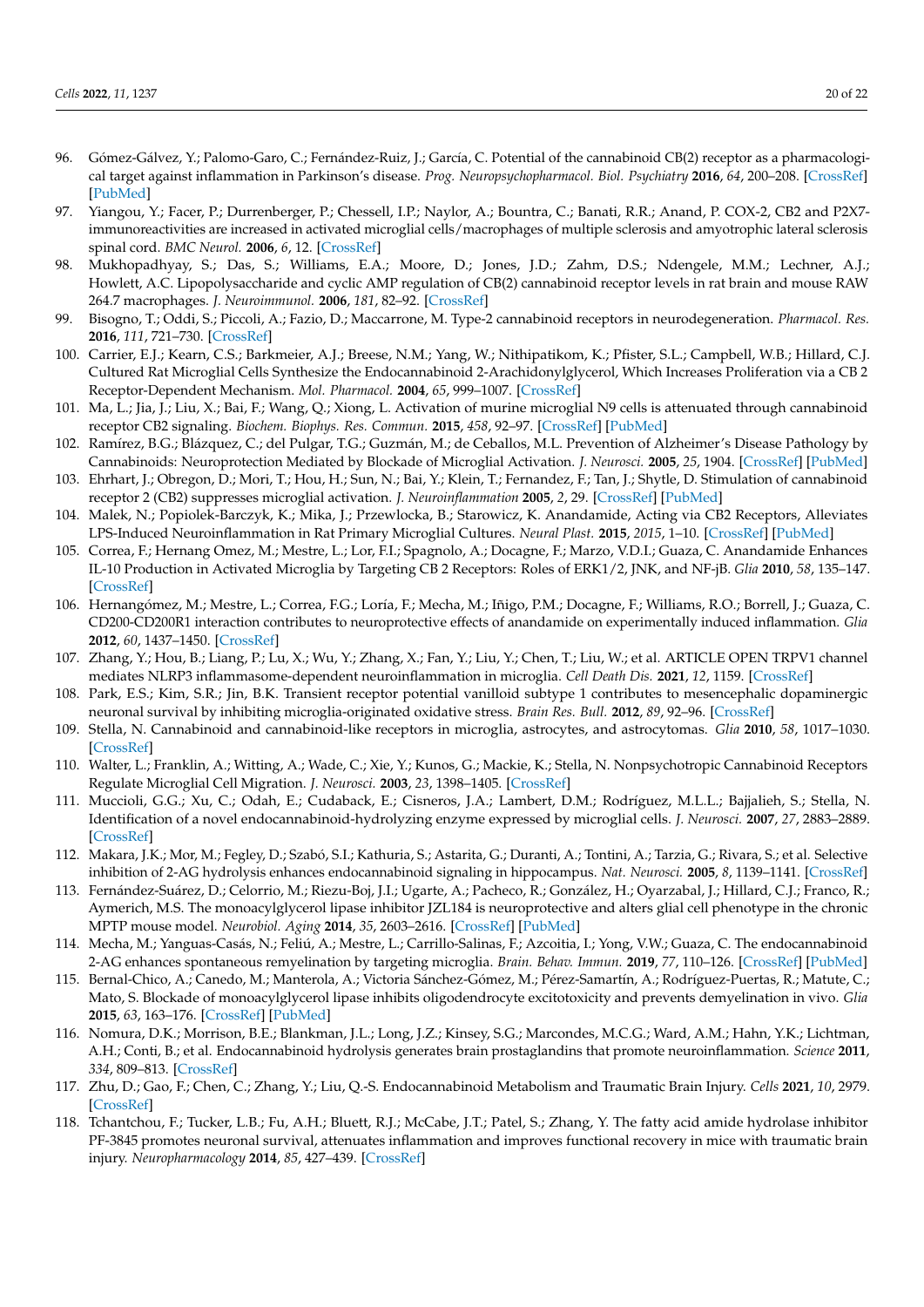- <span id="page-19-0"></span>96. Gómez-Gálvez, Y.; Palomo-Garo, C.; Fernández-Ruiz, J.; García, C. Potential of the cannabinoid CB(2) receptor as a pharmacological target against inflammation in Parkinson's disease. *Prog. Neuropsychopharmacol. Biol. Psychiatry* **2016**, *64*, 200–208. [\[CrossRef\]](http://doi.org/10.1016/j.pnpbp.2015.03.017) [\[PubMed\]](http://www.ncbi.nlm.nih.gov/pubmed/25863279)
- <span id="page-19-1"></span>97. Yiangou, Y.; Facer, P.; Durrenberger, P.; Chessell, I.P.; Naylor, A.; Bountra, C.; Banati, R.R.; Anand, P. COX-2, CB2 and P2X7immunoreactivities are increased in activated microglial cells/macrophages of multiple sclerosis and amyotrophic lateral sclerosis spinal cord. *BMC Neurol.* **2006**, *6*, 12. [\[CrossRef\]](http://doi.org/10.1186/1471-2377-6-12)
- <span id="page-19-2"></span>98. Mukhopadhyay, S.; Das, S.; Williams, E.A.; Moore, D.; Jones, J.D.; Zahm, D.S.; Ndengele, M.M.; Lechner, A.J.; Howlett, A.C. Lipopolysaccharide and cyclic AMP regulation of CB(2) cannabinoid receptor levels in rat brain and mouse RAW 264.7 macrophages. *J. Neuroimmunol.* **2006**, *181*, 82–92. [\[CrossRef\]](http://doi.org/10.1016/j.jneuroim.2006.08.002)
- <span id="page-19-3"></span>99. Bisogno, T.; Oddi, S.; Piccoli, A.; Fazio, D.; Maccarrone, M. Type-2 cannabinoid receptors in neurodegeneration. *Pharmacol. Res.* **2016**, *111*, 721–730. [\[CrossRef\]](http://doi.org/10.1016/j.phrs.2016.07.021)
- <span id="page-19-4"></span>100. Carrier, E.J.; Kearn, C.S.; Barkmeier, A.J.; Breese, N.M.; Yang, W.; Nithipatikom, K.; Pfister, S.L.; Campbell, W.B.; Hillard, C.J. Cultured Rat Microglial Cells Synthesize the Endocannabinoid 2-Arachidonylglycerol, Which Increases Proliferation via a CB 2 Receptor-Dependent Mechanism. *Mol. Pharmacol.* **2004**, *65*, 999–1007. [\[CrossRef\]](http://doi.org/10.1124/mol.65.4.999)
- <span id="page-19-5"></span>101. Ma, L.; Jia, J.; Liu, X.; Bai, F.; Wang, Q.; Xiong, L. Activation of murine microglial N9 cells is attenuated through cannabinoid receptor CB2 signaling. *Biochem. Biophys. Res. Commun.* **2015**, *458*, 92–97. [\[CrossRef\]](http://doi.org/10.1016/j.bbrc.2015.01.073) [\[PubMed\]](http://www.ncbi.nlm.nih.gov/pubmed/25637536)
- <span id="page-19-6"></span>102. Ramírez, B.G.; Blázquez, C.; del Pulgar, T.G.; Guzmán, M.; de Ceballos, M.L. Prevention of Alzheimer's Disease Pathology by Cannabinoids: Neuroprotection Mediated by Blockade of Microglial Activation. *J. Neurosci.* **2005**, *25*, 1904. [\[CrossRef\]](http://doi.org/10.1523/JNEUROSCI.4540-04.2005) [\[PubMed\]](http://www.ncbi.nlm.nih.gov/pubmed/15728830)
- <span id="page-19-20"></span>103. Ehrhart, J.; Obregon, D.; Mori, T.; Hou, H.; Sun, N.; Bai, Y.; Klein, T.; Fernandez, F.; Tan, J.; Shytle, D. Stimulation of cannabinoid receptor 2 (CB2) suppresses microglial activation. *J. Neuroinflammation* **2005**, *2*, 29. [\[CrossRef\]](http://doi.org/10.1186/1742-2094-2-29) [\[PubMed\]](http://www.ncbi.nlm.nih.gov/pubmed/16343349)
- <span id="page-19-21"></span>104. Malek, N.; Popiolek-Barczyk, K.; Mika, J.; Przewlocka, B.; Starowicz, K. Anandamide, Acting via CB2 Receptors, Alleviates LPS-Induced Neuroinflammation in Rat Primary Microglial Cultures. *Neural Plast.* **2015**, *2015*, 1–10. [\[CrossRef\]](http://doi.org/10.1155/2015/130639) [\[PubMed\]](http://www.ncbi.nlm.nih.gov/pubmed/26090232)
- <span id="page-19-22"></span>105. Correa, F.; Hernang Omez, M.; Mestre, L.; Lor, F.I.; Spagnolo, A.; Docagne, F.; Marzo, V.D.I.; Guaza, C. Anandamide Enhances IL-10 Production in Activated Microglia by Targeting CB 2 Receptors: Roles of ERK1/2, JNK, and NF-jB. *Glia* **2010**, *58*, 135–147. [\[CrossRef\]](http://doi.org/10.1002/glia.20907)
- <span id="page-19-7"></span>106. Hernangómez, M.; Mestre, L.; Correa, F.G.; Loría, F.; Mecha, M.; Iñigo, P.M.; Docagne, F.; Williams, R.O.; Borrell, J.; Guaza, C. CD200-CD200R1 interaction contributes to neuroprotective effects of anandamide on experimentally induced inflammation. *Glia* **2012**, *60*, 1437–1450. [\[CrossRef\]](http://doi.org/10.1002/glia.22366)
- <span id="page-19-8"></span>107. Zhang, Y.; Hou, B.; Liang, P.; Lu, X.; Wu, Y.; Zhang, X.; Fan, Y.; Liu, Y.; Chen, T.; Liu, W.; et al. ARTICLE OPEN TRPV1 channel mediates NLRP3 inflammasome-dependent neuroinflammation in microglia. *Cell Death Dis.* **2021**, *12*, 1159. [\[CrossRef\]](http://doi.org/10.1038/s41419-021-04450-9)
- <span id="page-19-9"></span>108. Park, E.S.; Kim, S.R.; Jin, B.K. Transient receptor potential vanilloid subtype 1 contributes to mesencephalic dopaminergic neuronal survival by inhibiting microglia-originated oxidative stress. *Brain Res. Bull.* **2012**, *89*, 92–96. [\[CrossRef\]](http://doi.org/10.1016/j.brainresbull.2012.07.001)
- <span id="page-19-10"></span>109. Stella, N. Cannabinoid and cannabinoid-like receptors in microglia, astrocytes, and astrocytomas. *Glia* **2010**, *58*, 1017–1030. [\[CrossRef\]](http://doi.org/10.1002/glia.20983)
- <span id="page-19-11"></span>110. Walter, L.; Franklin, A.; Witting, A.; Wade, C.; Xie, Y.; Kunos, G.; Mackie, K.; Stella, N. Nonpsychotropic Cannabinoid Receptors Regulate Microglial Cell Migration. *J. Neurosci.* **2003**, *23*, 1398–1405. [\[CrossRef\]](http://doi.org/10.1523/JNEUROSCI.23-04-01398.2003)
- <span id="page-19-12"></span>111. Muccioli, G.G.; Xu, C.; Odah, E.; Cudaback, E.; Cisneros, J.A.; Lambert, D.M.; Rodríguez, M.L.L.; Bajjalieh, S.; Stella, N. Identification of a novel endocannabinoid-hydrolyzing enzyme expressed by microglial cells. *J. Neurosci.* **2007**, *27*, 2883–2889. [\[CrossRef\]](http://doi.org/10.1523/JNEUROSCI.4830-06.2007)
- <span id="page-19-13"></span>112. Makara, J.K.; Mor, M.; Fegley, D.; Szabó, S.I.; Kathuria, S.; Astarita, G.; Duranti, A.; Tontini, A.; Tarzia, G.; Rivara, S.; et al. Selective inhibition of 2-AG hydrolysis enhances endocannabinoid signaling in hippocampus. *Nat. Neurosci.* **2005**, *8*, 1139–1141. [\[CrossRef\]](http://doi.org/10.1038/nn1521)
- <span id="page-19-14"></span>113. Fernández-Suárez, D.; Celorrio, M.; Riezu-Boj, J.I.; Ugarte, A.; Pacheco, R.; González, H.; Oyarzabal, J.; Hillard, C.J.; Franco, R.; Aymerich, M.S. The monoacylglycerol lipase inhibitor JZL184 is neuroprotective and alters glial cell phenotype in the chronic MPTP mouse model. *Neurobiol. Aging* **2014**, *35*, 2603–2616. [\[CrossRef\]](http://doi.org/10.1016/j.neurobiolaging.2014.05.021) [\[PubMed\]](http://www.ncbi.nlm.nih.gov/pubmed/24973119)
- <span id="page-19-15"></span>114. Mecha, M.; Yanguas-Casás, N.; Feliú, A.; Mestre, L.; Carrillo-Salinas, F.; Azcoitia, I.; Yong, V.W.; Guaza, C. The endocannabinoid 2-AG enhances spontaneous remyelination by targeting microglia. *Brain. Behav. Immun.* **2019**, *77*, 110–126. [\[CrossRef\]](http://doi.org/10.1016/j.bbi.2018.12.013) [\[PubMed\]](http://www.ncbi.nlm.nih.gov/pubmed/30582962)
- <span id="page-19-16"></span>115. Bernal-Chico, A.; Canedo, M.; Manterola, A.; Victoria Sánchez-Gómez, M.; Pérez-Samartín, A.; Rodríguez-Puertas, R.; Matute, C.; Mato, S. Blockade of monoacylglycerol lipase inhibits oligodendrocyte excitotoxicity and prevents demyelination in vivo. *Glia* **2015**, *63*, 163–176. [\[CrossRef\]](http://doi.org/10.1002/glia.22742) [\[PubMed\]](http://www.ncbi.nlm.nih.gov/pubmed/25130621)
- <span id="page-19-17"></span>116. Nomura, D.K.; Morrison, B.E.; Blankman, J.L.; Long, J.Z.; Kinsey, S.G.; Marcondes, M.C.G.; Ward, A.M.; Hahn, Y.K.; Lichtman, A.H.; Conti, B.; et al. Endocannabinoid hydrolysis generates brain prostaglandins that promote neuroinflammation. *Science* **2011**, *334*, 809–813. [\[CrossRef\]](http://doi.org/10.1126/science.1209200)
- <span id="page-19-18"></span>117. Zhu, D.; Gao, F.; Chen, C.; Zhang, Y.; Liu, Q.-S. Endocannabinoid Metabolism and Traumatic Brain Injury. *Cells* **2021**, *10*, 2979. [\[CrossRef\]](http://doi.org/10.3390/cells10112979)
- <span id="page-19-19"></span>118. Tchantchou, F.; Tucker, L.B.; Fu, A.H.; Bluett, R.J.; McCabe, J.T.; Patel, S.; Zhang, Y. The fatty acid amide hydrolase inhibitor PF-3845 promotes neuronal survival, attenuates inflammation and improves functional recovery in mice with traumatic brain injury. *Neuropharmacology* **2014**, *85*, 427–439. [\[CrossRef\]](http://doi.org/10.1016/j.neuropharm.2014.06.006)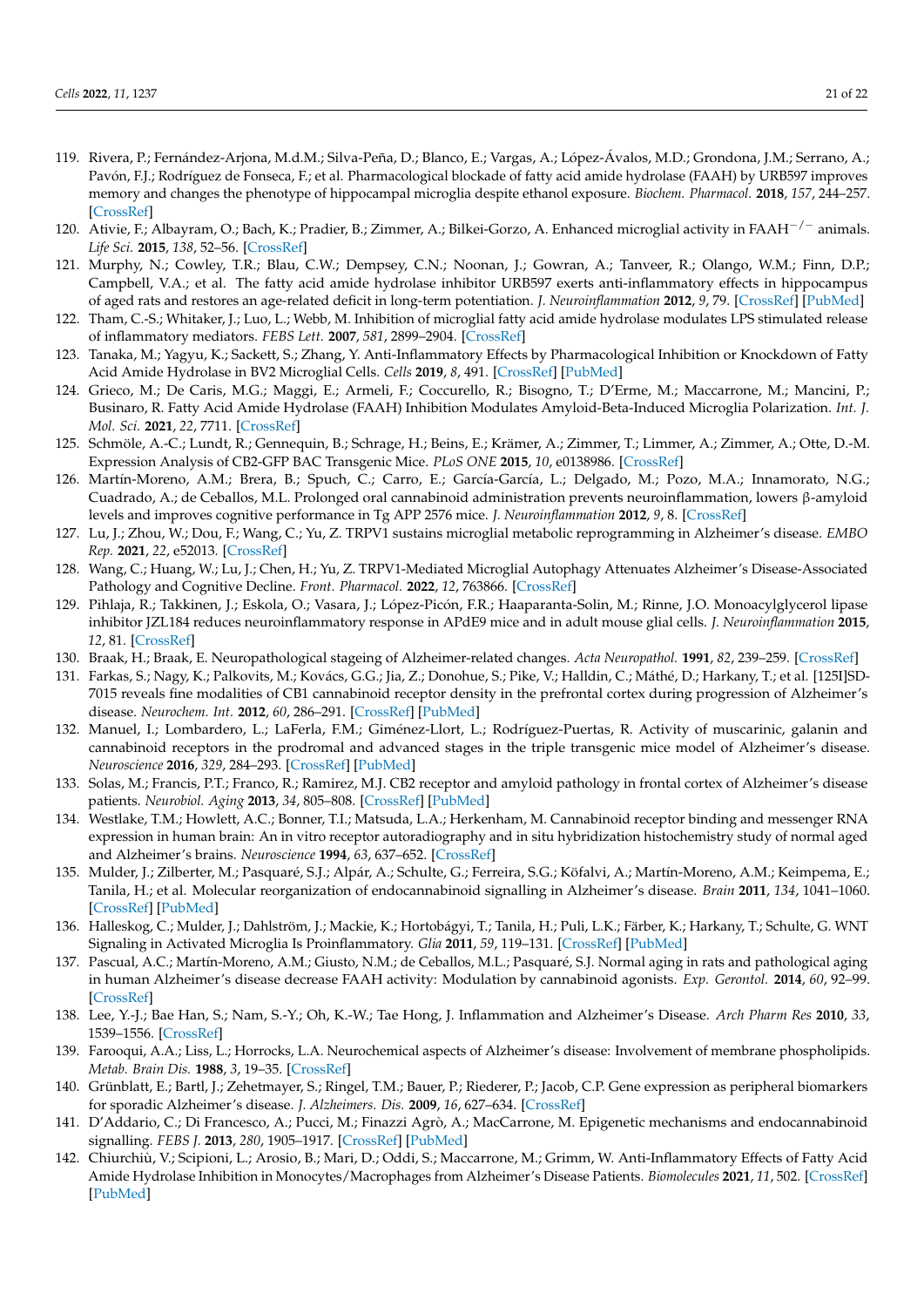- <span id="page-20-0"></span>119. Rivera, P.; Fernández-Arjona, M.d.M.; Silva-Peña, D.; Blanco, E.; Vargas, A.; López-Ávalos, M.D.; Grondona, J.M.; Serrano, A.; Pavón, F.J.; Rodríguez de Fonseca, F.; et al. Pharmacological blockade of fatty acid amide hydrolase (FAAH) by URB597 improves memory and changes the phenotype of hippocampal microglia despite ethanol exposure. *Biochem. Pharmacol.* **2018**, *157*, 244–257. [\[CrossRef\]](http://doi.org/10.1016/j.bcp.2018.08.005)
- <span id="page-20-1"></span>120. Ativie, F.; Albayram, O.; Bach, K.; Pradier, B.; Zimmer, A.; Bilkei-Gorzo, A. Enhanced microglial activity in FAAH−/<sup>−</sup> animals. *Life Sci.* **2015**, *138*, 52–56. [\[CrossRef\]](http://doi.org/10.1016/j.lfs.2014.12.016)
- <span id="page-20-2"></span>121. Murphy, N.; Cowley, T.R.; Blau, C.W.; Dempsey, C.N.; Noonan, J.; Gowran, A.; Tanveer, R.; Olango, W.M.; Finn, D.P.; Campbell, V.A.; et al. The fatty acid amide hydrolase inhibitor URB597 exerts anti-inflammatory effects in hippocampus of aged rats and restores an age-related deficit in long-term potentiation. *J. Neuroinflammation* **2012**, *9*, 79. [\[CrossRef\]](http://doi.org/10.1186/1742-2094-9-79) [\[PubMed\]](http://www.ncbi.nlm.nih.gov/pubmed/22537429)
- <span id="page-20-3"></span>122. Tham, C.-S.; Whitaker, J.; Luo, L.; Webb, M. Inhibition of microglial fatty acid amide hydrolase modulates LPS stimulated release of inflammatory mediators. *FEBS Lett.* **2007**, *581*, 2899–2904. [\[CrossRef\]](http://doi.org/10.1016/j.febslet.2007.05.037)
- <span id="page-20-4"></span>123. Tanaka, M.; Yagyu, K.; Sackett, S.; Zhang, Y. Anti-Inflammatory Effects by Pharmacological Inhibition or Knockdown of Fatty Acid Amide Hydrolase in BV2 Microglial Cells. *Cells* **2019**, *8*, 491. [\[CrossRef\]](http://doi.org/10.3390/cells8050491) [\[PubMed\]](http://www.ncbi.nlm.nih.gov/pubmed/31121907)
- <span id="page-20-5"></span>124. Grieco, M.; De Caris, M.G.; Maggi, E.; Armeli, F.; Coccurello, R.; Bisogno, T.; D'Erme, M.; Maccarrone, M.; Mancini, P.; Businaro, R. Fatty Acid Amide Hydrolase (FAAH) Inhibition Modulates Amyloid-Beta-Induced Microglia Polarization. *Int. J. Mol. Sci.* **2021**, *22*, 7711. [\[CrossRef\]](http://doi.org/10.3390/ijms22147711)
- <span id="page-20-6"></span>125. Schmöle, A.-C.; Lundt, R.; Gennequin, B.; Schrage, H.; Beins, E.; Krämer, A.; Zimmer, T.; Limmer, A.; Zimmer, A.; Otte, D.-M. Expression Analysis of CB2-GFP BAC Transgenic Mice. *PLoS ONE* **2015**, *10*, e0138986. [\[CrossRef\]](http://doi.org/10.1371/journal.pone.0138986)
- <span id="page-20-7"></span>126. Martín-Moreno, A.M.; Brera, B.; Spuch, C.; Carro, E.; García-García, L.; Delgado, M.; Pozo, M.A.; Innamorato, N.G.; Cuadrado, A.; de Ceballos, M.L. Prolonged oral cannabinoid administration prevents neuroinflammation, lowers β-amyloid levels and improves cognitive performance in Tg APP 2576 mice. *J. Neuroinflammation* **2012**, *9*, 8. [\[CrossRef\]](http://doi.org/10.1186/1742-2094-9-8)
- <span id="page-20-8"></span>127. Lu, J.; Zhou, W.; Dou, F.; Wang, C.; Yu, Z. TRPV1 sustains microglial metabolic reprogramming in Alzheimer's disease. *EMBO Rep.* **2021**, *22*, e52013. [\[CrossRef\]](http://doi.org/10.15252/embr.202052013)
- <span id="page-20-9"></span>128. Wang, C.; Huang, W.; Lu, J.; Chen, H.; Yu, Z. TRPV1-Mediated Microglial Autophagy Attenuates Alzheimer's Disease-Associated Pathology and Cognitive Decline. *Front. Pharmacol.* **2022**, *12*, 763866. [\[CrossRef\]](http://doi.org/10.3389/fphar.2021.763866)
- <span id="page-20-10"></span>129. Pihlaja, R.; Takkinen, J.; Eskola, O.; Vasara, J.; López-Picón, F.R.; Haaparanta-Solin, M.; Rinne, J.O. Monoacylglycerol lipase inhibitor JZL184 reduces neuroinflammatory response in APdE9 mice and in adult mouse glial cells. *J. Neuroinflammation* **2015**, *12*, 81. [\[CrossRef\]](http://doi.org/10.1186/s12974-015-0305-9)
- <span id="page-20-11"></span>130. Braak, H.; Braak, E. Neuropathological stageing of Alzheimer-related changes. *Acta Neuropathol.* **1991**, *82*, 239–259. [\[CrossRef\]](http://doi.org/10.1007/BF00308809)
- <span id="page-20-12"></span>131. Farkas, S.; Nagy, K.; Palkovits, M.; Kovács, G.G.; Jia, Z.; Donohue, S.; Pike, V.; Halldin, C.; Máthé, D.; Harkany, T.; et al. [125I]SD-7015 reveals fine modalities of CB1 cannabinoid receptor density in the prefrontal cortex during progression of Alzheimer's disease. *Neurochem. Int.* **2012**, *60*, 286–291. [\[CrossRef\]](http://doi.org/10.1016/j.neuint.2011.11.004) [\[PubMed\]](http://www.ncbi.nlm.nih.gov/pubmed/22222721)
- <span id="page-20-13"></span>132. Manuel, I.; Lombardero, L.; LaFerla, F.M.; Giménez-Llort, L.; Rodríguez-Puertas, R. Activity of muscarinic, galanin and cannabinoid receptors in the prodromal and advanced stages in the triple transgenic mice model of Alzheimer's disease. *Neuroscience* **2016**, *329*, 284–293. [\[CrossRef\]](http://doi.org/10.1016/j.neuroscience.2016.05.012) [\[PubMed\]](http://www.ncbi.nlm.nih.gov/pubmed/27223629)
- <span id="page-20-14"></span>133. Solas, M.; Francis, P.T.; Franco, R.; Ramirez, M.J. CB2 receptor and amyloid pathology in frontal cortex of Alzheimer's disease patients. *Neurobiol. Aging* **2013**, *34*, 805–808. [\[CrossRef\]](http://doi.org/10.1016/j.neurobiolaging.2012.06.005) [\[PubMed\]](http://www.ncbi.nlm.nih.gov/pubmed/22763024)
- <span id="page-20-15"></span>134. Westlake, T.M.; Howlett, A.C.; Bonner, T.I.; Matsuda, L.A.; Herkenham, M. Cannabinoid receptor binding and messenger RNA expression in human brain: An in vitro receptor autoradiography and in situ hybridization histochemistry study of normal aged and Alzheimer's brains. *Neuroscience* **1994**, *63*, 637–652. [\[CrossRef\]](http://doi.org/10.1016/0306-4522(94)90511-8)
- <span id="page-20-16"></span>135. Mulder, J.; Zilberter, M.; Pasquaré, S.J.; Alpár, A.; Schulte, G.; Ferreira, S.G.; Köfalvi, A.; Martín-Moreno, A.M.; Keimpema, E.; Tanila, H.; et al. Molecular reorganization of endocannabinoid signalling in Alzheimer's disease. *Brain* **2011**, *134*, 1041–1060. [\[CrossRef\]](http://doi.org/10.1093/brain/awr046) [\[PubMed\]](http://www.ncbi.nlm.nih.gov/pubmed/21459826)
- <span id="page-20-17"></span>136. Halleskog, C.; Mulder, J.; Dahlström, J.; Mackie, K.; Hortobágyi, T.; Tanila, H.; Puli, L.K.; Färber, K.; Harkany, T.; Schulte, G. WNT Signaling in Activated Microglia Is Proinflammatory. *Glia* **2011**, *59*, 119–131. [\[CrossRef\]](http://doi.org/10.1002/glia.21081) [\[PubMed\]](http://www.ncbi.nlm.nih.gov/pubmed/20967887)
- <span id="page-20-18"></span>137. Pascual, A.C.; Martín-Moreno, A.M.; Giusto, N.M.; de Ceballos, M.L.; Pasquaré, S.J. Normal aging in rats and pathological aging in human Alzheimer's disease decrease FAAH activity: Modulation by cannabinoid agonists. *Exp. Gerontol.* **2014**, *60*, 92–99. [\[CrossRef\]](http://doi.org/10.1016/j.exger.2014.10.011)
- <span id="page-20-19"></span>138. Lee, Y.-J.; Bae Han, S.; Nam, S.-Y.; Oh, K.-W.; Tae Hong, J. Inflammation and Alzheimer's Disease. *Arch Pharm Res* **2010**, *33*, 1539–1556. [\[CrossRef\]](http://doi.org/10.1007/s12272-010-1006-7)
- <span id="page-20-20"></span>139. Farooqui, A.A.; Liss, L.; Horrocks, L.A. Neurochemical aspects of Alzheimer's disease: Involvement of membrane phospholipids. *Metab. Brain Dis.* **1988**, *3*, 19–35. [\[CrossRef\]](http://doi.org/10.1007/BF01001351)
- <span id="page-20-21"></span>140. Grünblatt, E.; Bartl, J.; Zehetmayer, S.; Ringel, T.M.; Bauer, P.; Riederer, P.; Jacob, C.P. Gene expression as peripheral biomarkers for sporadic Alzheimer's disease. *J. Alzheimers. Dis.* **2009**, *16*, 627–634. [\[CrossRef\]](http://doi.org/10.3233/JAD-2009-0996)
- <span id="page-20-22"></span>141. D'Addario, C.; Di Francesco, A.; Pucci, M.; Finazzi Agrò, A.; MacCarrone, M. Epigenetic mechanisms and endocannabinoid signalling. *FEBS J.* **2013**, *280*, 1905–1917. [\[CrossRef\]](http://doi.org/10.1111/febs.12125) [\[PubMed\]](http://www.ncbi.nlm.nih.gov/pubmed/23305292)
- <span id="page-20-23"></span>142. Chiurchiù, V.; Scipioni, L.; Arosio, B.; Mari, D.; Oddi, S.; Maccarrone, M.; Grimm, W. Anti-Inflammatory Effects of Fatty Acid Amide Hydrolase Inhibition in Monocytes/Macrophages from Alzheimer's Disease Patients. *Biomolecules* **2021**, *11*, 502. [\[CrossRef\]](http://doi.org/10.3390/biom11040502) [\[PubMed\]](http://www.ncbi.nlm.nih.gov/pubmed/33810505)